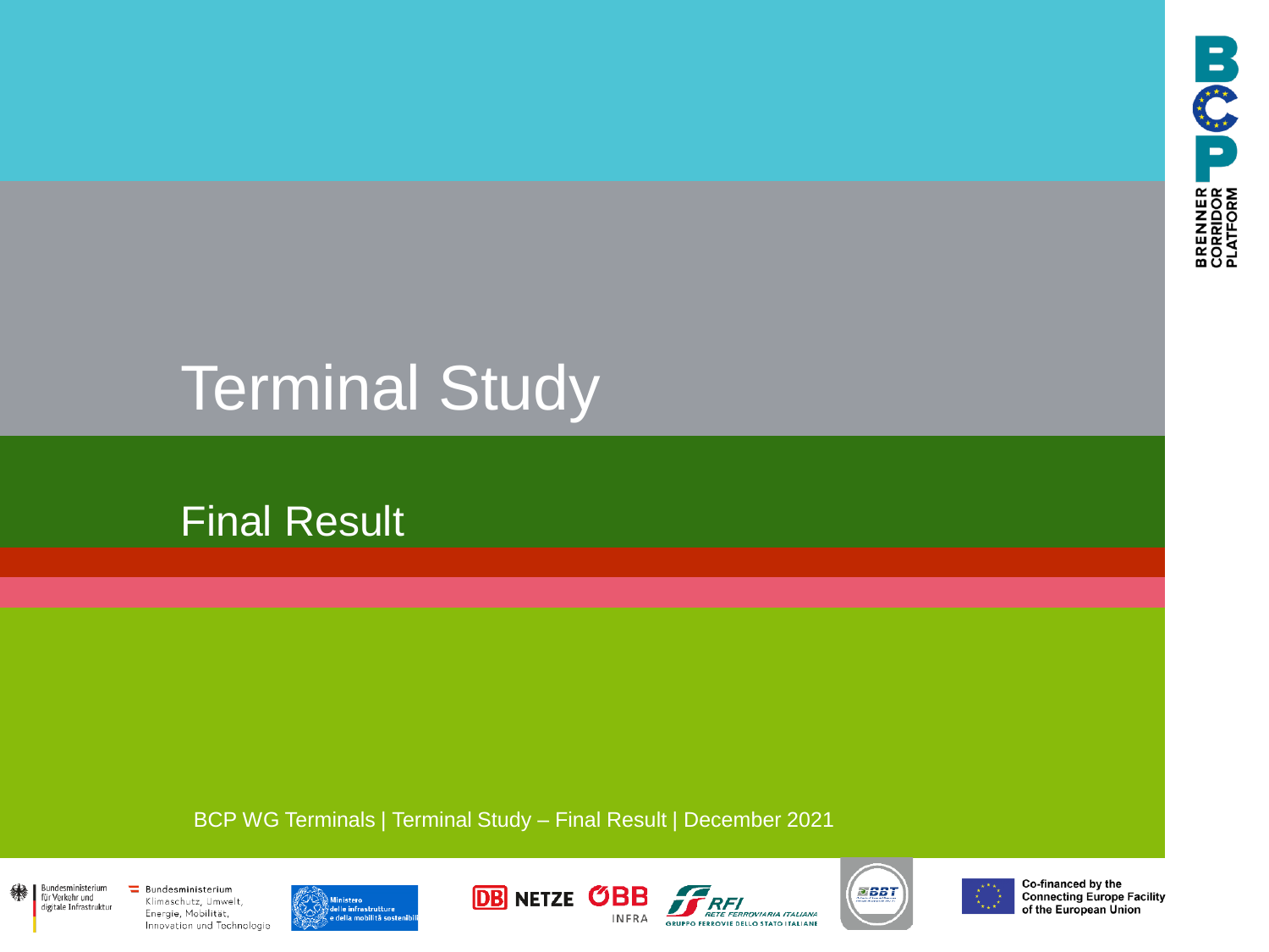

# Terminal Study

# Final Result

BCP WG Terminals | Terminal Study – Final Result | December 2021













Co-financed by the **Connecting Europe Facility** of the European Union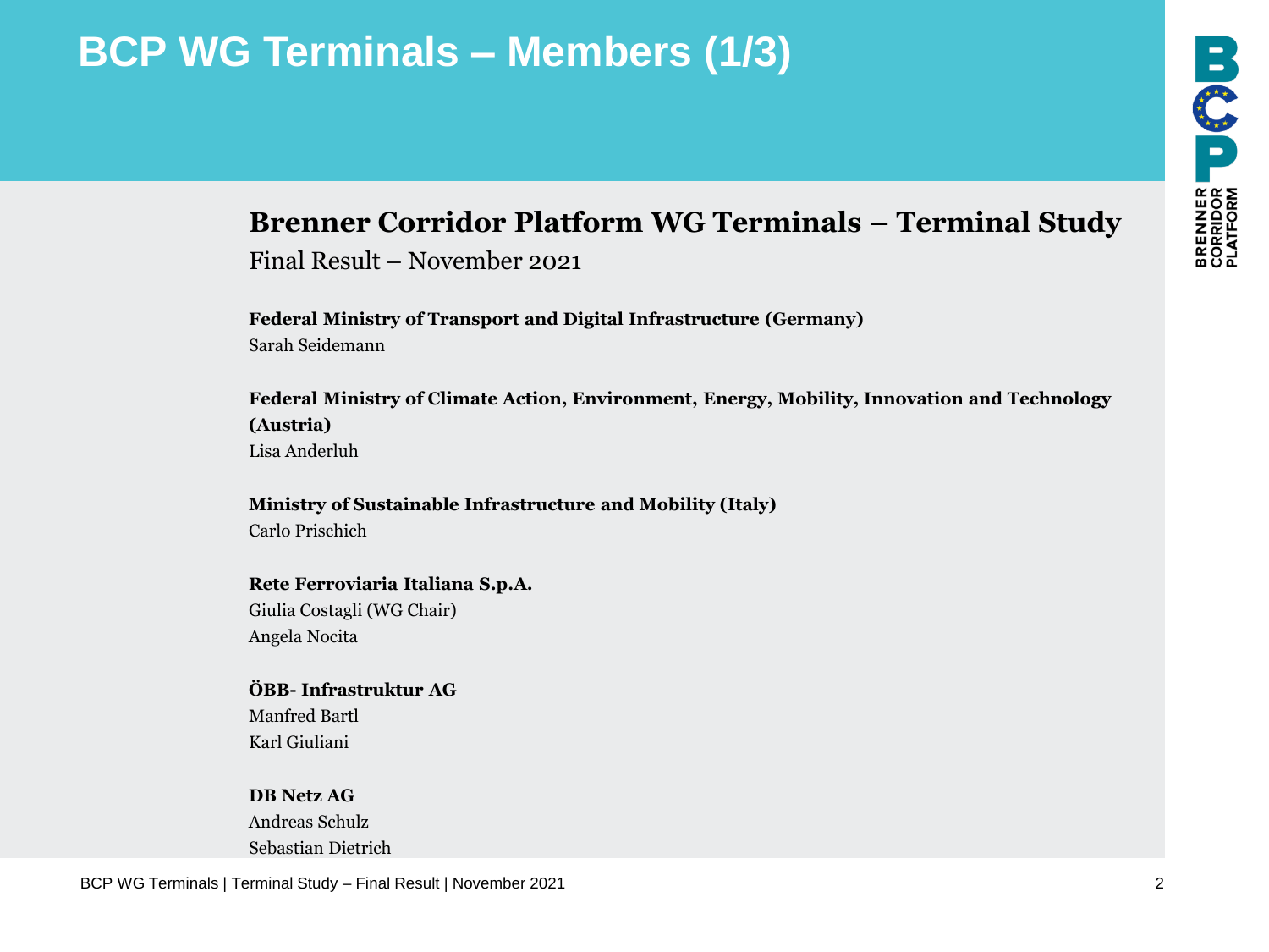# **BCP WG Terminals – Members (1/3)**

# BREAMER<br>CORRIDOR<br>PLATFORM

#### **Brenner Corridor Platform WG Terminals – Terminal Study**

Final Result – November 2021

**Federal Ministry of Transport and Digital Infrastructure (Germany)** Sarah Seidemann

**Federal Ministry of Climate Action, Environment, Energy, Mobility, Innovation and Technology (Austria)** Lisa Anderluh

#### **Ministry of Sustainable Infrastructure and Mobility (Italy)** Carlo Prischich

**Rete Ferroviaria Italiana S.p.A.** Giulia Costagli (WG Chair) Angela Nocita

#### **ÖBB- Infrastruktur AG** Manfred Bartl

Karl Giuliani

**DB Netz AG** Andreas Schulz Sebastian Dietrich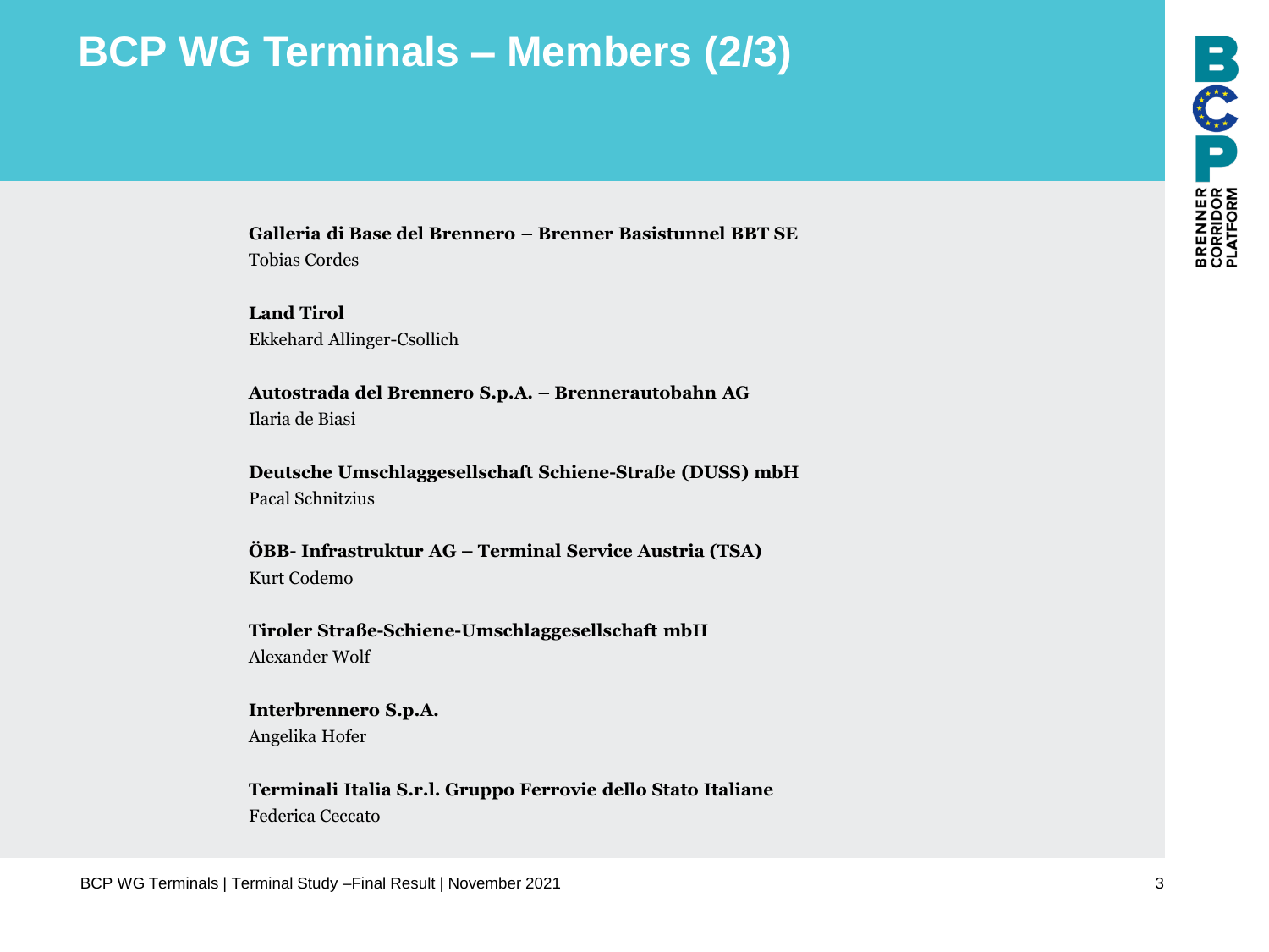# **BCP WG Terminals – Members (2/3)**

**Galleria di Base del Brennero – Brenner Basistunnel BBT SE** Tobias Cordes

**Land Tirol** Ekkehard Allinger-Csollich

**Autostrada del Brennero S.p.A. – Brennerautobahn AG** Ilaria de Biasi

**Deutsche Umschlaggesellschaft Schiene-Straße (DUSS) mbH** Pacal Schnitzius

**ÖBB- Infrastruktur AG – Terminal Service Austria (TSA)** Kurt Codemo

**Tiroler Straße-Schiene-Umschlaggesellschaft mbH** Alexander Wolf

**Interbrennero S.p.A.** Angelika Hofer

**Terminali Italia S.r.l. Gruppo Ferrovie dello Stato Italiane** Federica Ceccato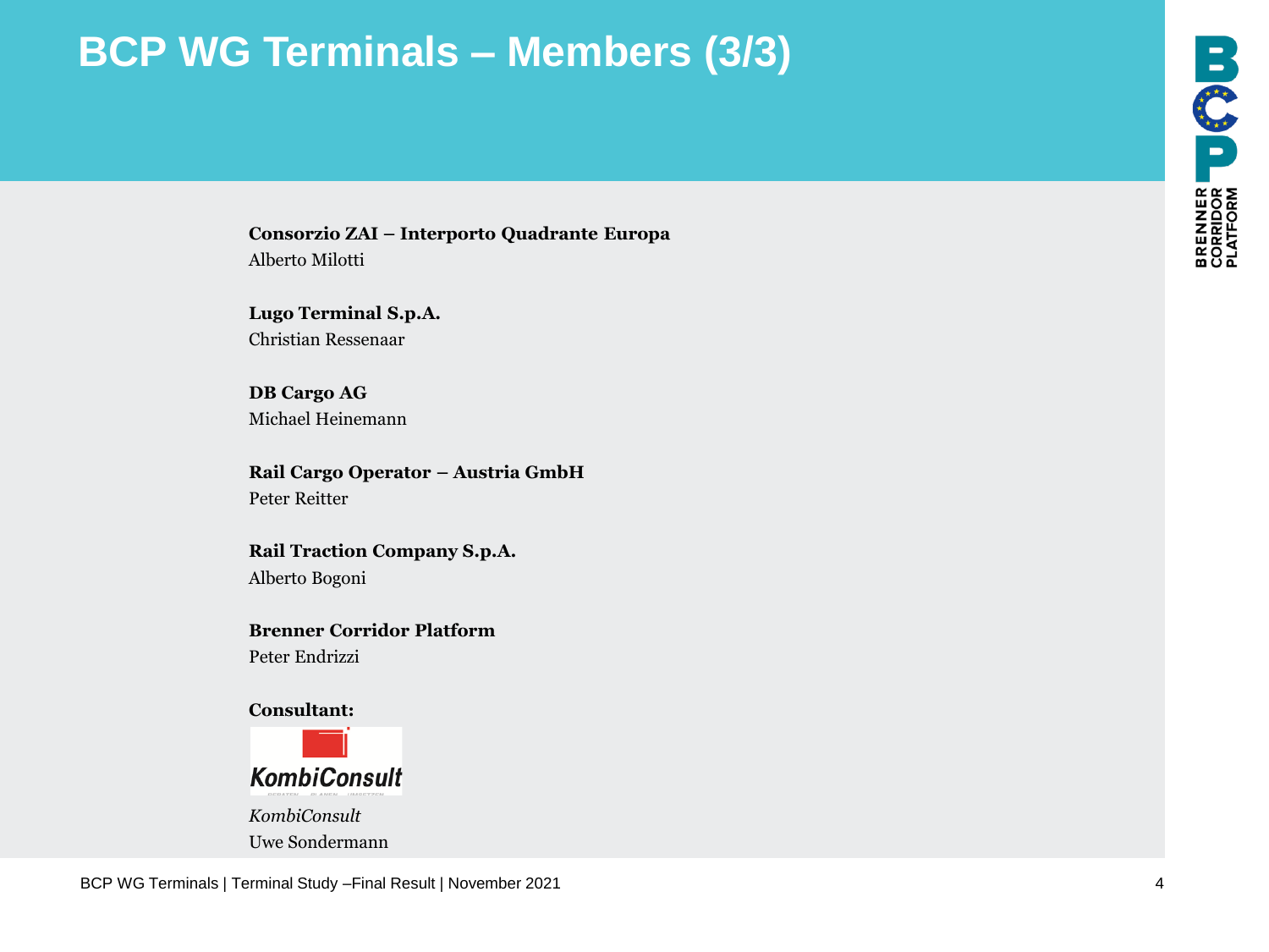# **BCP WG Terminals – Members (3/3)**

**Consorzio ZAI – Interporto Quadrante Europa** Alberto Milotti

**Lugo Terminal S.p.A.** Christian Ressenaar

**DB Cargo AG** Michael Heinemann

**Rail Cargo Operator – Austria GmbH** Peter Reitter

**Rail Traction Company S.p.A.** Alberto Bogoni

**Brenner Corridor Platform** Peter Endrizzi



*KombiConsult* Uwe Sondermann

BCP WG Terminals | Terminal Study –Final Result | November 2021 4

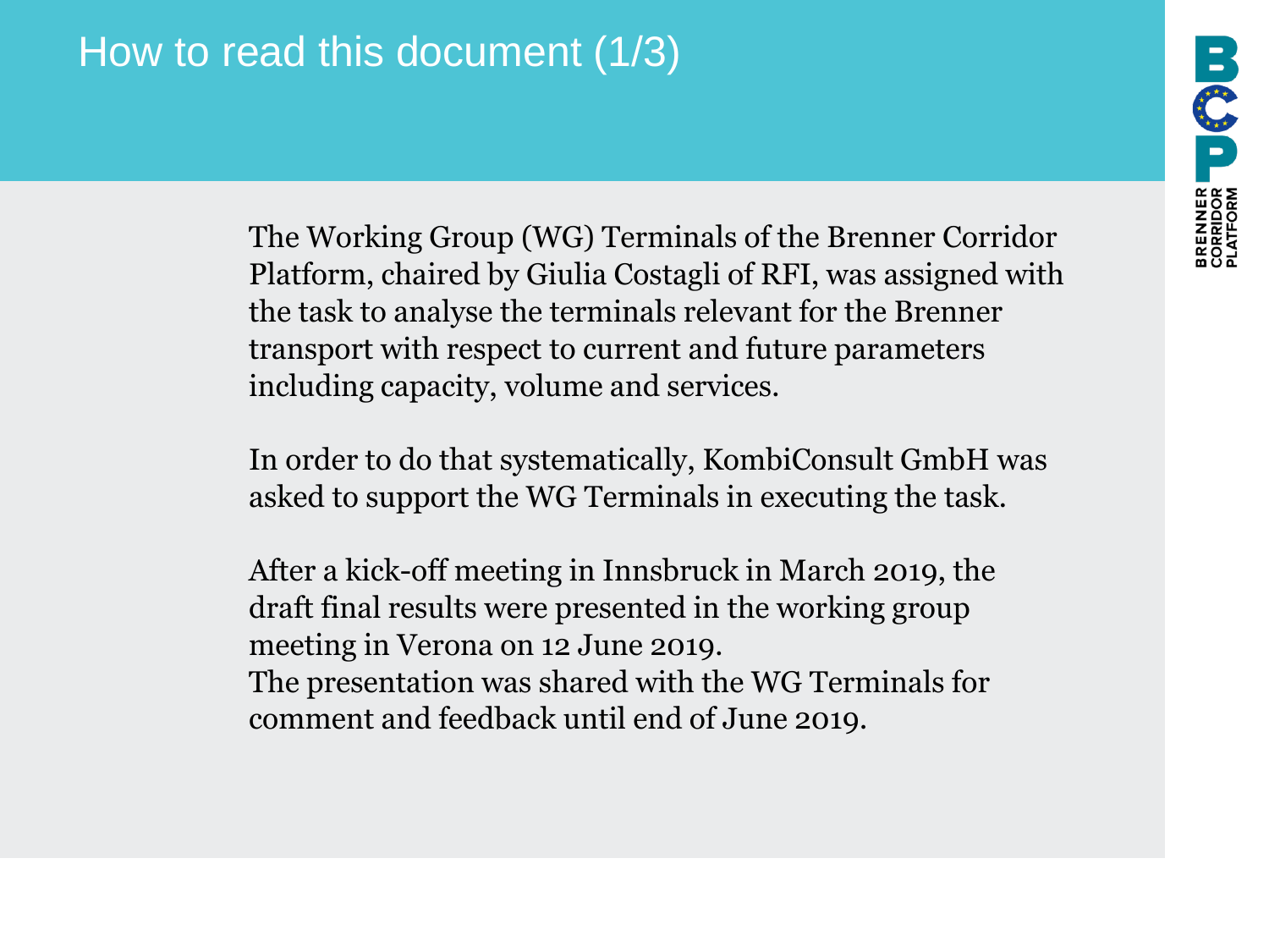The Working Group (WG) Terminals of the Brenner Corridor Platform, chaired by Giulia Costagli of RFI, was assigned with the task to analyse the terminals relevant for the Brenner transport with respect to current and future parameters including capacity, volume and services.

In order to do that systematically, KombiConsult GmbH was asked to support the WG Terminals in executing the task.

After a kick-off meeting in Innsbruck in March 2019, the draft final results were presented in the working group meeting in Verona on 12 June 2019. The presentation was shared with the WG Terminals for comment and feedback until end of June 2019.

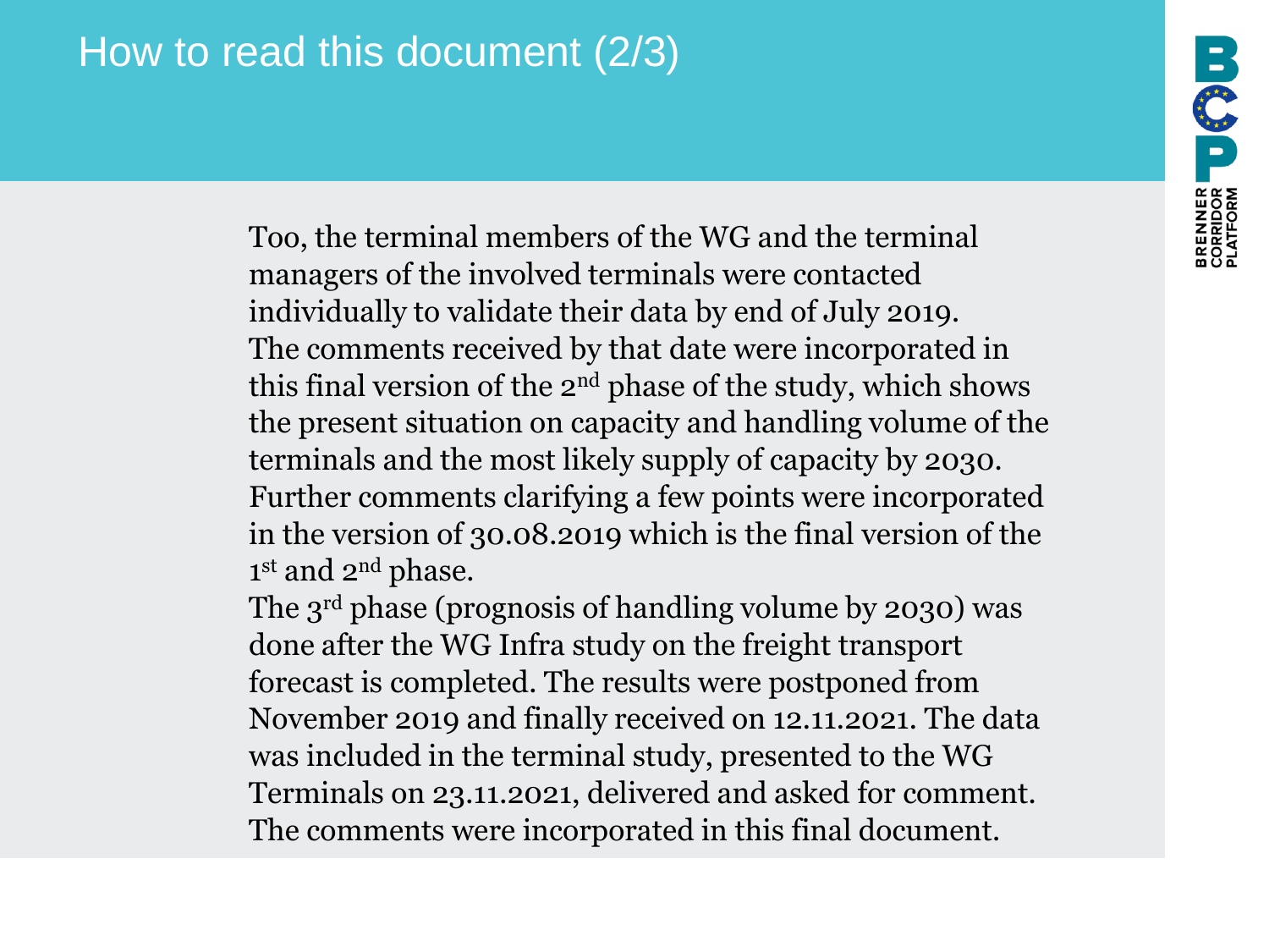# How to read this document (2/3)

Too, the terminal members of the WG and the terminal managers of the involved terminals were contacted individually to validate their data by end of July 2019. The comments received by that date were incorporated in this final version of the 2nd phase of the study, which shows the present situation on capacity and handling volume of the terminals and the most likely supply of capacity by 2030. Further comments clarifying a few points were incorporated in the version of 30.08.2019 which is the final version of the 1<sup>st</sup> and 2<sup>nd</sup> phase.

REALISE US COU

The 3<sup>rd</sup> phase (prognosis of handling volume by 2030) was done after the WG Infra study on the freight transport forecast is completed. The results were postponed from November 2019 and finally received on 12.11.2021. The data was included in the terminal study, presented to the WG Terminals on 23.11.2021, delivered and asked for comment. The comments were incorporated in this final document.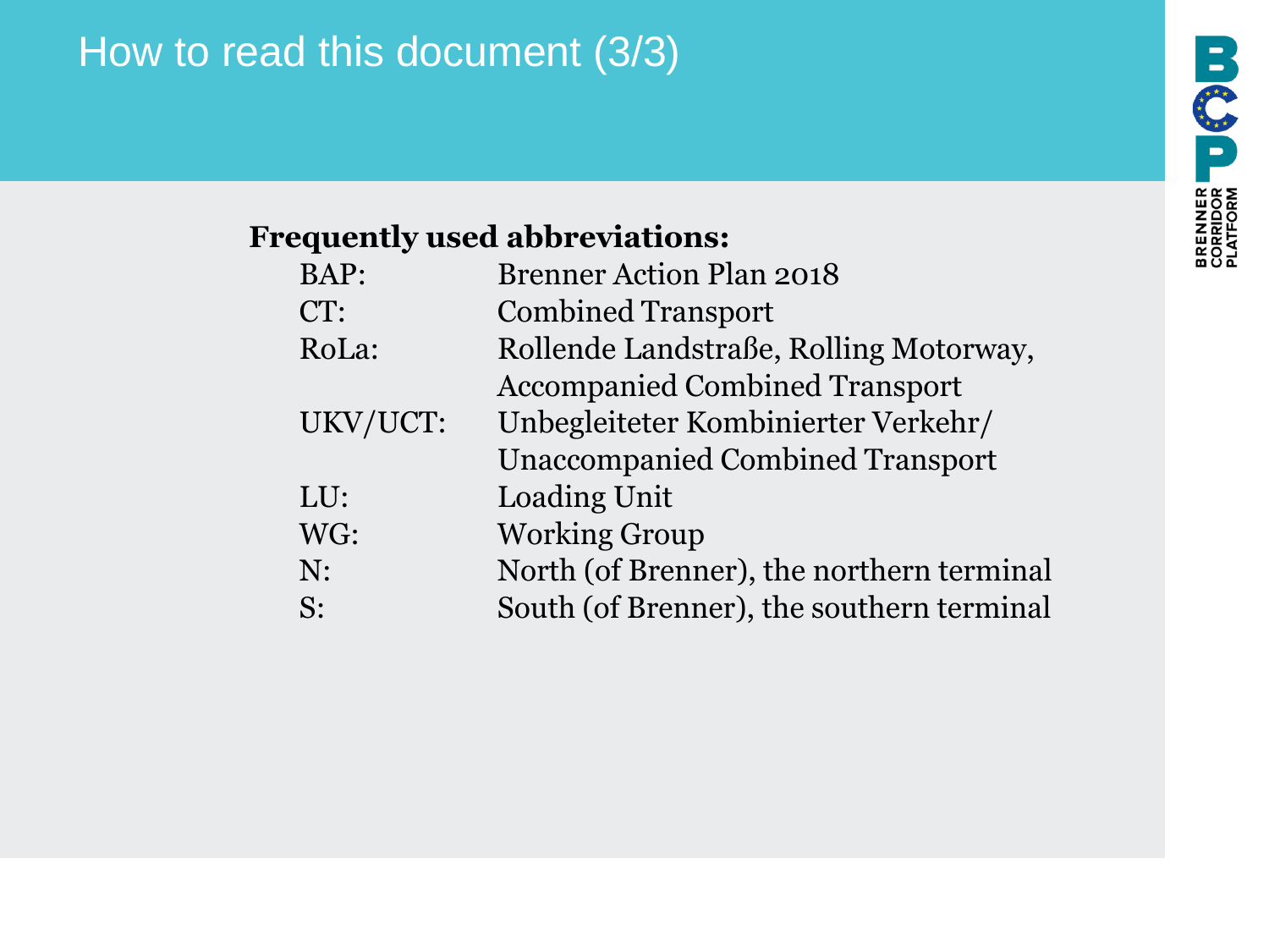# How to read this document (3/3)

#### **Frequently used abbreviations:**

| BAP:     | <b>Brenner Action Plan 2018</b>           |
|----------|-------------------------------------------|
| CT:      | <b>Combined Transport</b>                 |
| RoLa:    | Rollende Landstraße, Rolling Motorway,    |
|          | <b>Accompanied Combined Transport</b>     |
| UKV/UCT: | Unbegleiteter Kombinierter Verkehr/       |
|          | <b>Unaccompanied Combined Transport</b>   |
| LU:      | Loading Unit                              |
| WG:      | <b>Working Group</b>                      |
| N:       | North (of Brenner), the northern terminal |
| S:       | South (of Brenner), the southern terminal |
|          |                                           |

BRENNER **U (1)U**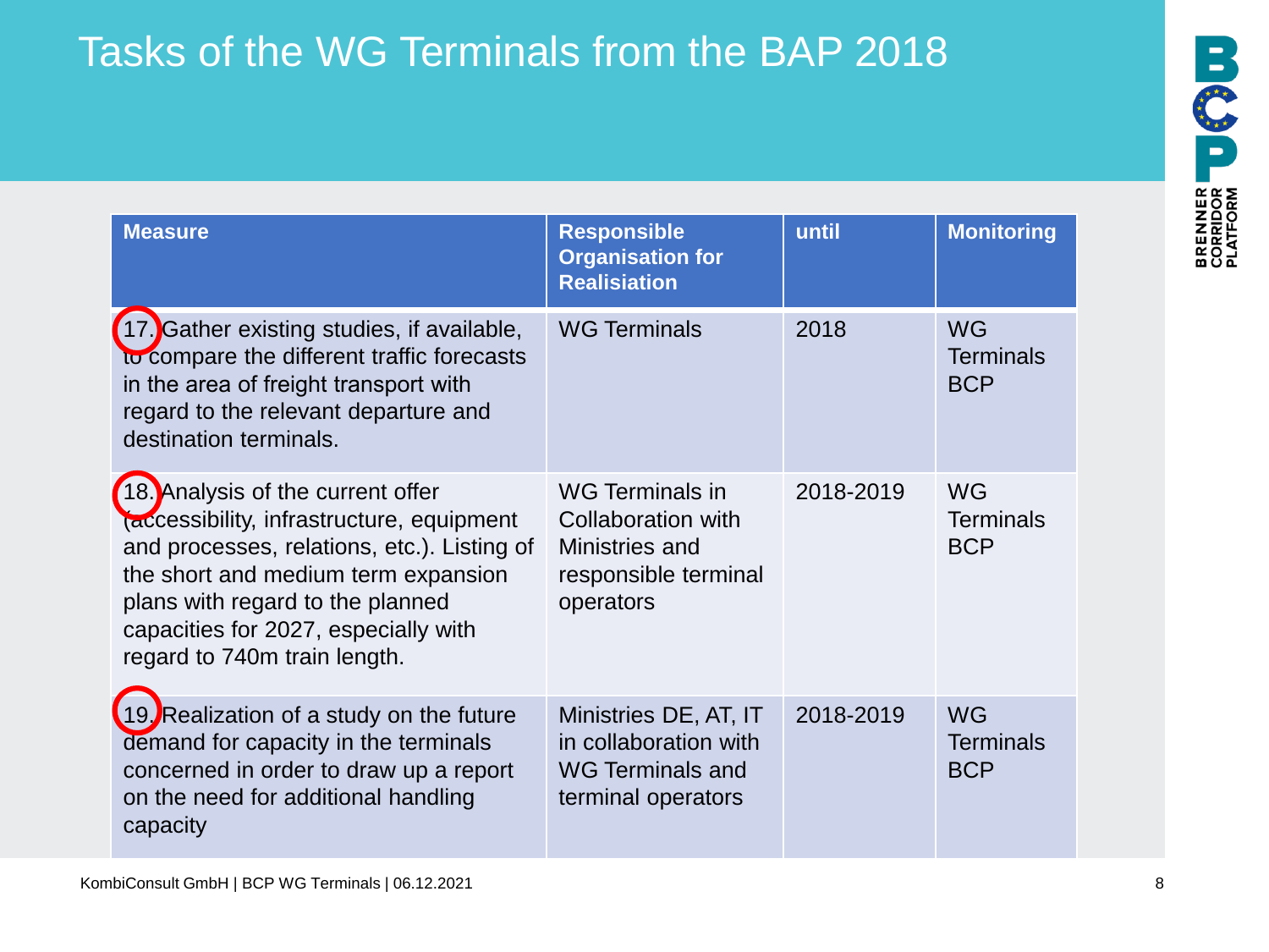# Tasks of the WG Terminals from the BAP 2018

| <b>Measure</b>                                                                                                                                                                                                                                                                   | <b>Responsible</b><br><b>Organisation for</b><br><b>Realisiation</b>                            | until     | <b>Monitoring</b>                           |
|----------------------------------------------------------------------------------------------------------------------------------------------------------------------------------------------------------------------------------------------------------------------------------|-------------------------------------------------------------------------------------------------|-----------|---------------------------------------------|
| 17. Gather existing studies, if available,<br>to compare the different traffic forecasts<br>in the area of freight transport with<br>regard to the relevant departure and<br>destination terminals.                                                                              | <b>WG Terminals</b>                                                                             | 2018      | <b>WG</b><br><b>Terminals</b><br><b>BCP</b> |
| 18. Analysis of the current offer<br>(accessibility, infrastructure, equipment<br>and processes, relations, etc.). Listing of<br>the short and medium term expansion<br>plans with regard to the planned<br>capacities for 2027, especially with<br>regard to 740m train length. | WG Terminals in<br>Collaboration with<br>Ministries and<br>responsible terminal<br>operators    | 2018-2019 | <b>WG</b><br><b>Terminals</b><br><b>BCP</b> |
| 19. Realization of a study on the future<br>demand for capacity in the terminals<br>concerned in order to draw up a report<br>on the need for additional handling<br>capacity                                                                                                    | Ministries DE, AT, IT<br>in collaboration with<br><b>WG Terminals and</b><br>terminal operators | 2018-2019 | <b>WG</b><br><b>Terminals</b><br><b>BCP</b> |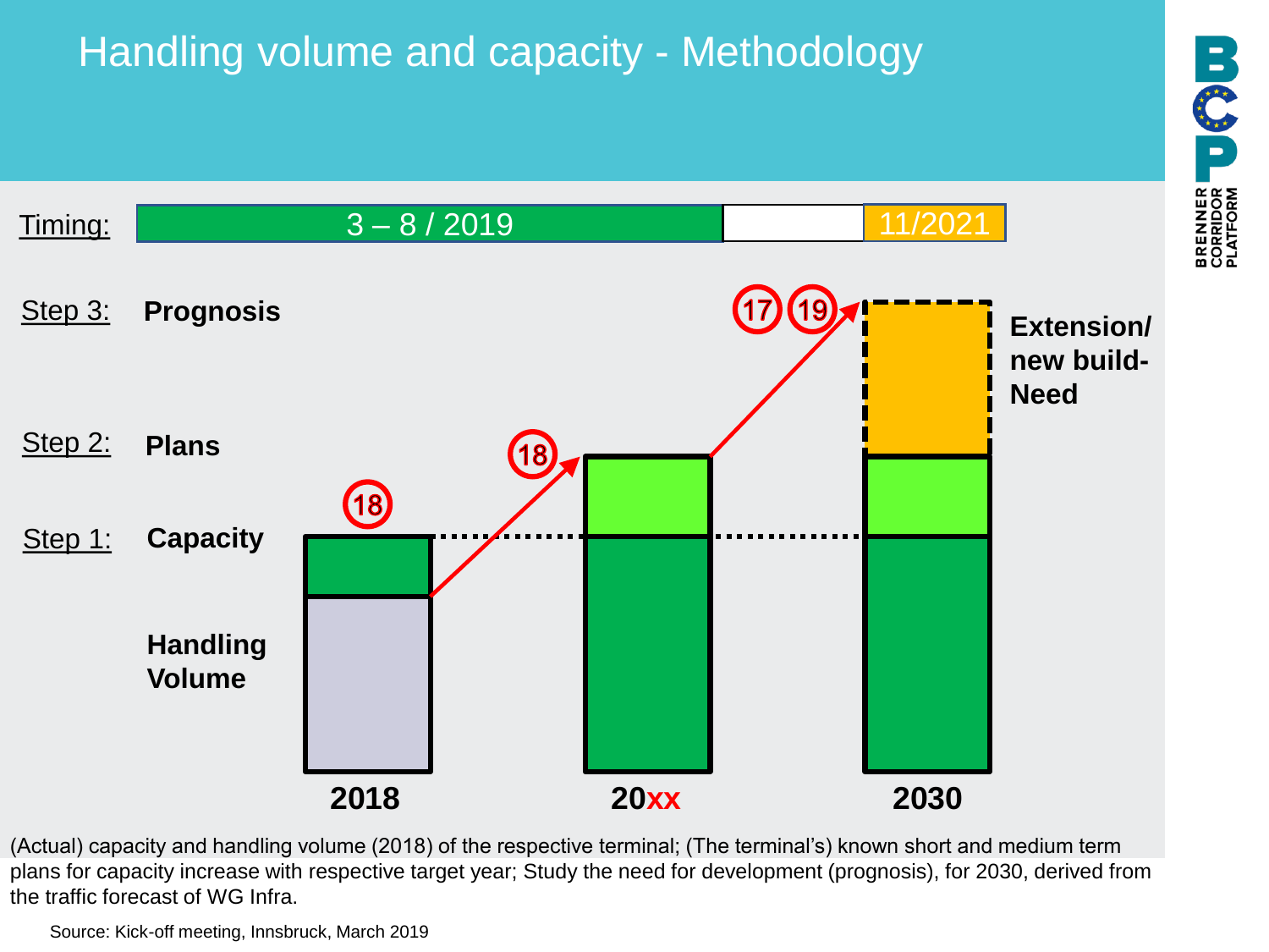# Handling volume and capacity - Methodology



**BOOD** 

**BRENNER**<br>CORRIDOR<br>PLATFORM

(Actual) capacity and handling volume (2018) of the respective terminal; (The terminal's) known short and medium term plans for capacity increase with respective target year; Study the need for development (prognosis), for 2030, derived from the traffic forecast of WG Infra.

Source: Kick-off meeting, Innsbruck, March 2019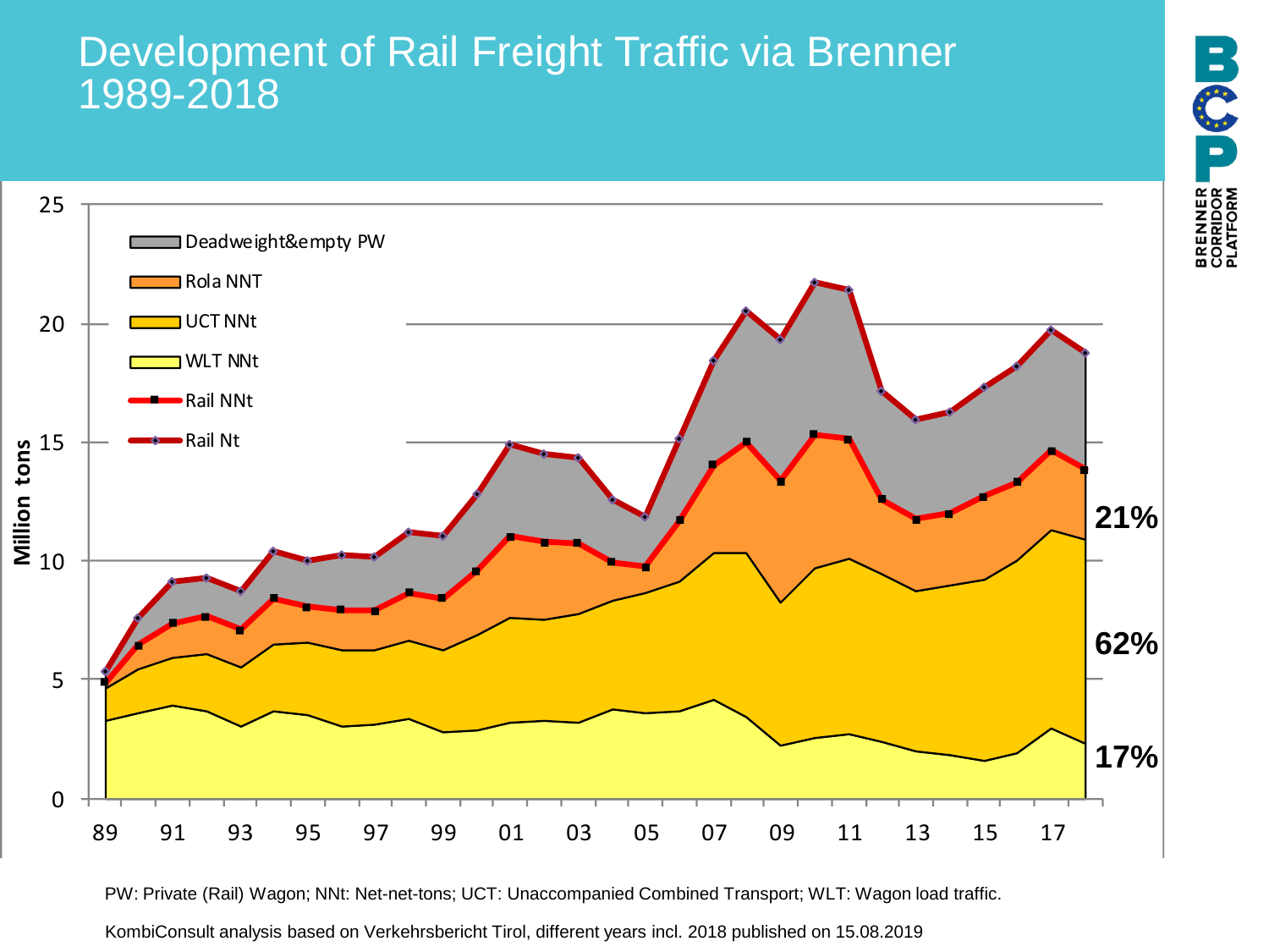#### Development of Rail Freight Traffic via Brenner 1989-2018





KombiConsult analysis based on Verkehrsbericht Tirol, different years incl. 2018 published on 15.08.2019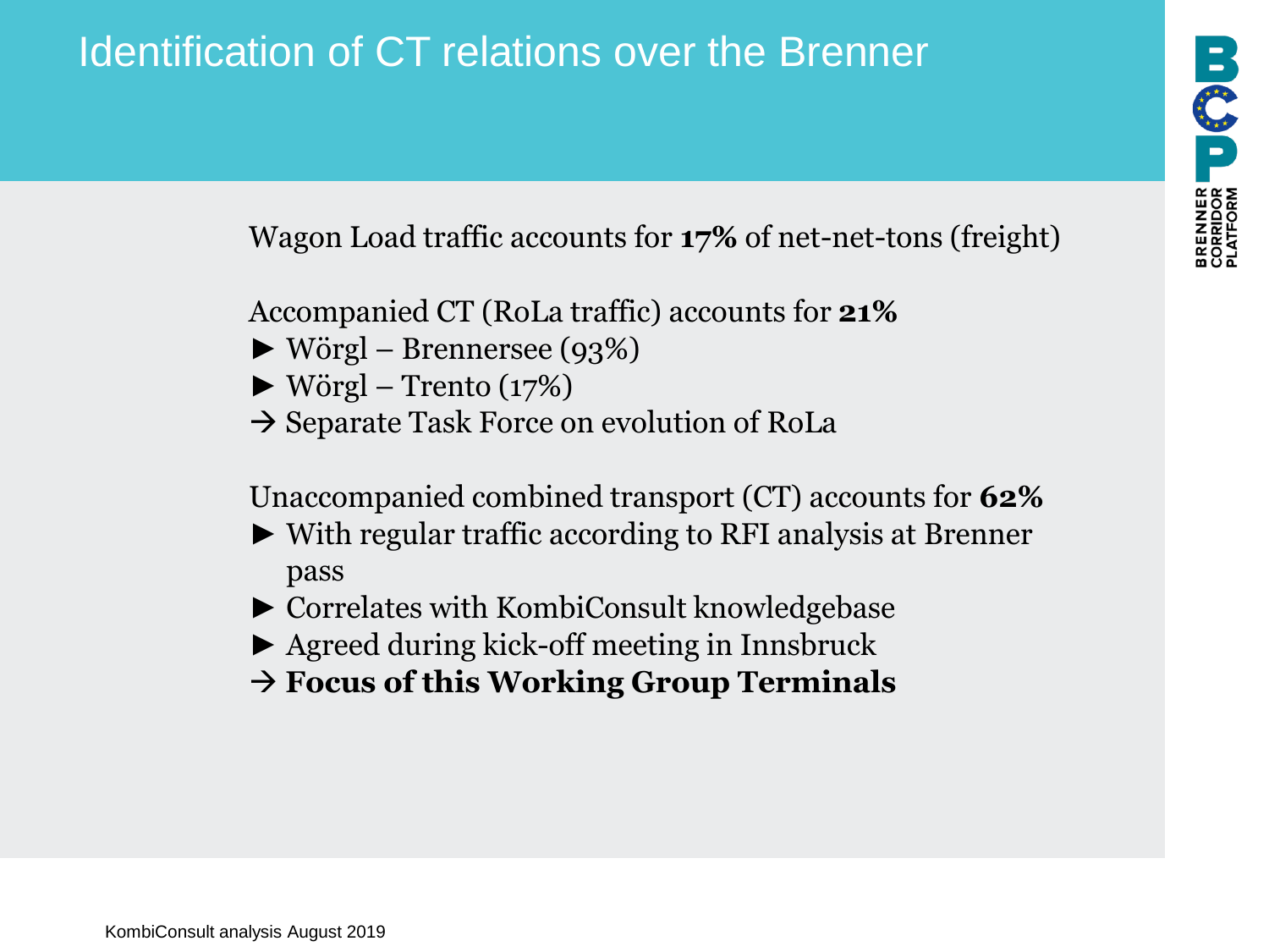Wagon Load traffic accounts for **17%** of net-net-tons (freight)

Accompanied CT (RoLa traffic) accounts for **21%**

- $\blacktriangleright$  Wörgl Brennersee (93%)
- $\blacktriangleright$  Wörgl Trento (17%)
- $\rightarrow$  Separate Task Force on evolution of RoLa

Unaccompanied combined transport (CT) accounts for **62%**

- ► With regular traffic according to RFI analysis at Brenner pass
- ► Correlates with KombiConsult knowledgebase
- ► Agreed during kick-off meeting in Innsbruck
- → **Focus of this Working Group Terminals**

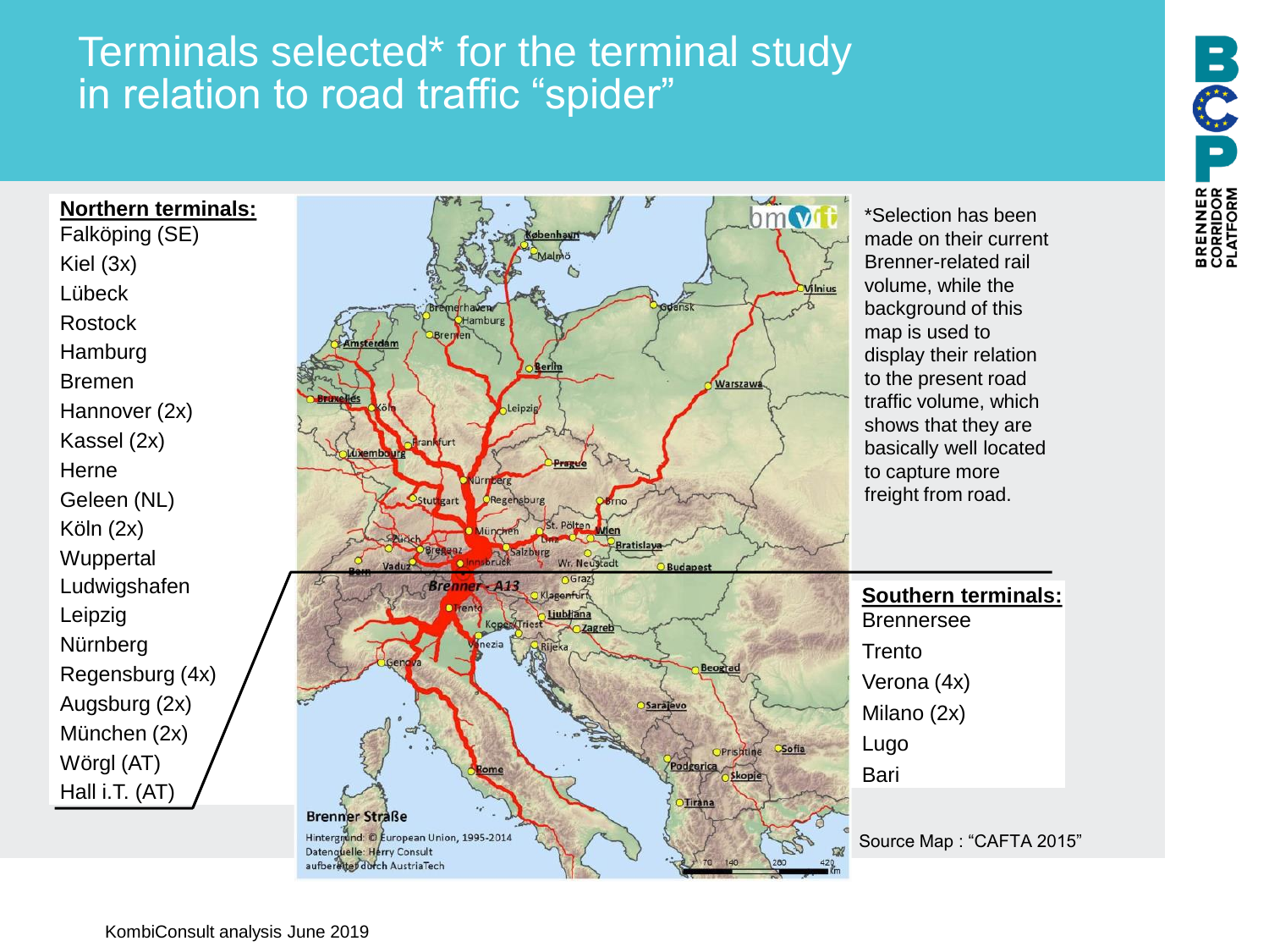# Terminals selected\* for the terminal study in relation to road traffic "spider"

**Northern terminals:** Falköping (SE) Kiel (3x) Lübeck Rostock Hamburg Bremen Hannover (2x) Kassel (2x) Herne Geleen (NL) Köln (2x) **Wuppertal** Ludwigshafen Leipzig Nürnberg Regensburg (4x) Augsburg (2x) München (2x) Wörgl (AT) Hall i.T. (AT)



\*Selection has been made on their current Brenner-related rail volume, while the background of this display their relation to the present road traffic volume, which shows that they are basically well located

**Southern terminals:**

Source Map : "CAFTA 2015"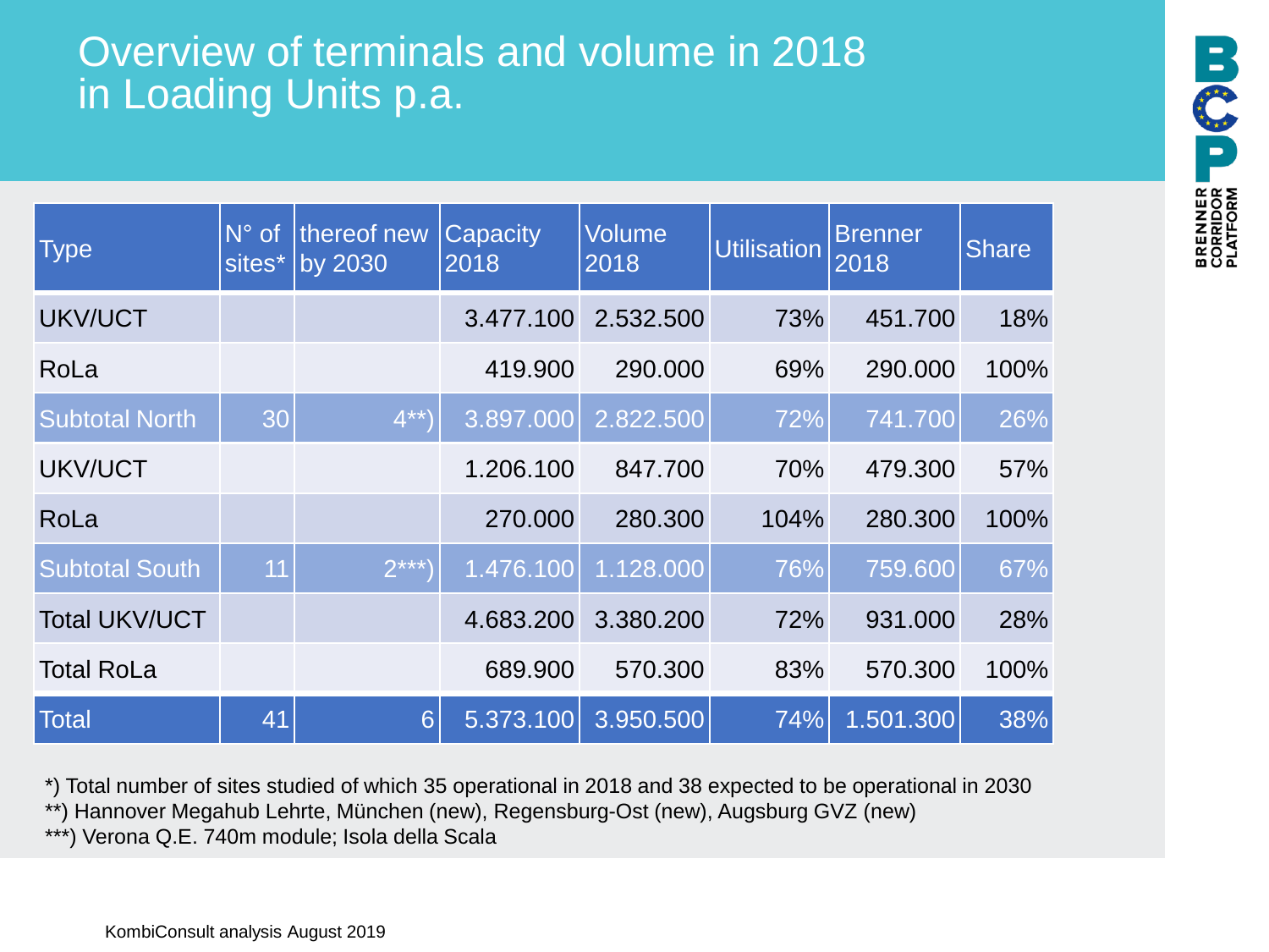# Overview of terminals and volume in 2018 in Loading Units p.a.

| <b>Type</b>           | $N^{\circ}$ of<br>sites* | thereof new<br>by 2030 | Capacity<br>2018 | <b>Volume</b><br>2018 | <b>Utilisation</b> | <b>Brenner</b><br>2018 | <b>Share</b> |
|-----------------------|--------------------------|------------------------|------------------|-----------------------|--------------------|------------------------|--------------|
| <b>UKV/UCT</b>        |                          |                        | 3.477.100        | 2.532.500             | 73%                | 451.700                | 18%          |
| RoLa                  |                          |                        | 419.900          | 290,000               | 69%                | 290,000                | 100%         |
| <b>Subtotal North</b> | 30                       | $4***$                 | 3.897.000        | 2.822.500             | 72%                | 741.700                | 26%          |
| UKV/UCT               |                          |                        | 1.206.100        | 847.700               | 70%                | 479.300                | 57%          |
| RoLa                  |                          |                        | 270.000          | 280.300               | 104%               | 280.300                | 100%         |
| <b>Subtotal South</b> | 11                       | $2***$                 | 1.476.100        | 1.128.000             | 76%                | 759.600                | 67%          |
| <b>Total UKV/UCT</b>  |                          |                        | 4.683.200        | 3.380.200             | 72%                | 931.000                | 28%          |
| <b>Total RoLa</b>     |                          |                        | 689.900          | 570.300               | 83%                | 570.300                | 100%         |
| <b>Total</b>          | 41                       | $6\overline{6}$        | 5.373.100        | 3.950.500             | 74%                | 1.501.300              | 38%          |

\*) Total number of sites studied of which 35 operational in 2018 and 38 expected to be operational in 2030

\*\*) Hannover Megahub Lehrte, München (new), Regensburg-Ost (new), Augsburg GVZ (new)

\*\*\*) Verona Q.E. 740m module; Isola della Scala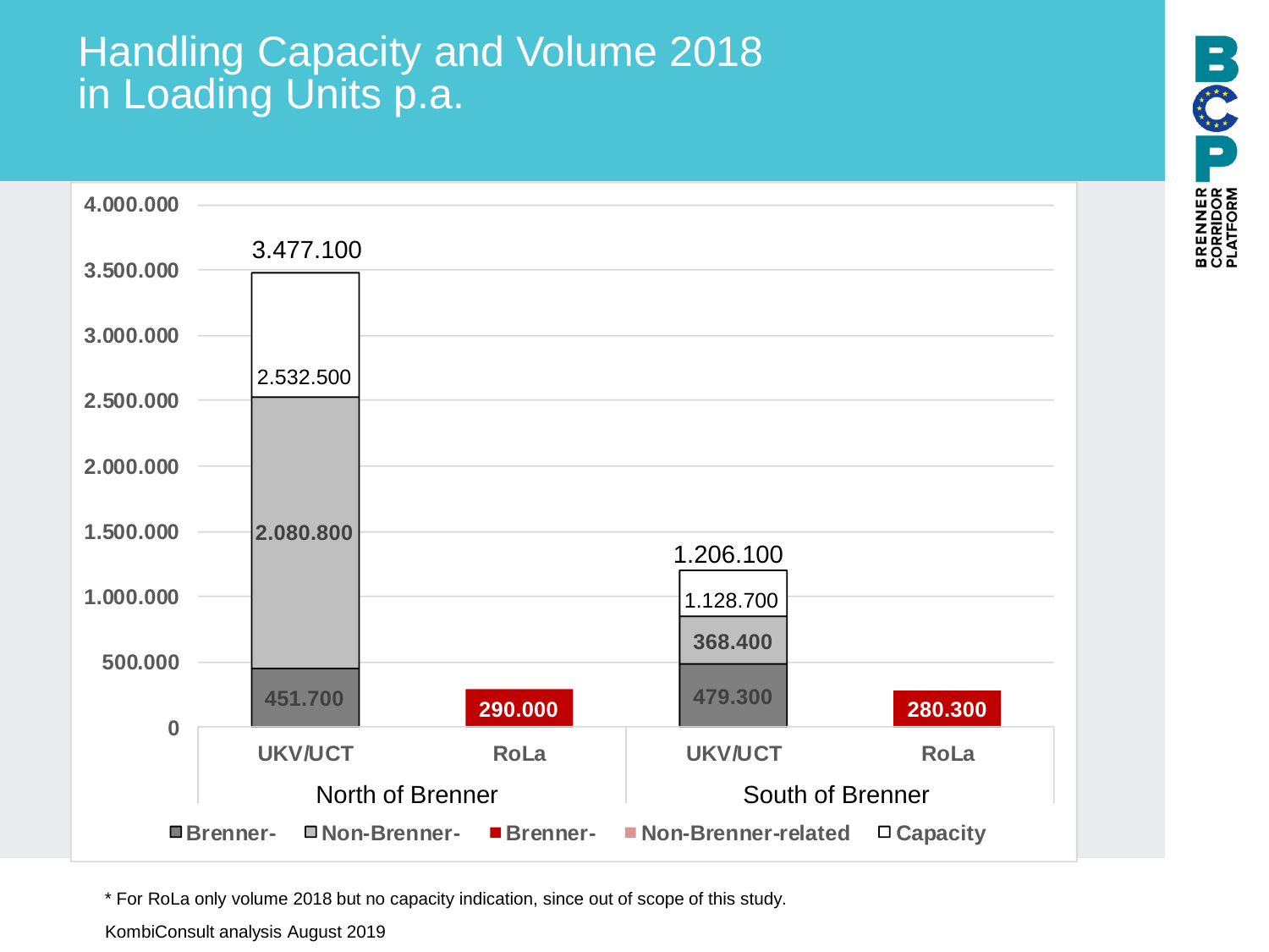### Handling Capacity and Volume 2018 in Loading Units p.a.



\* For RoLa only volume 2018 but no capacity indication, since out of scope of this study.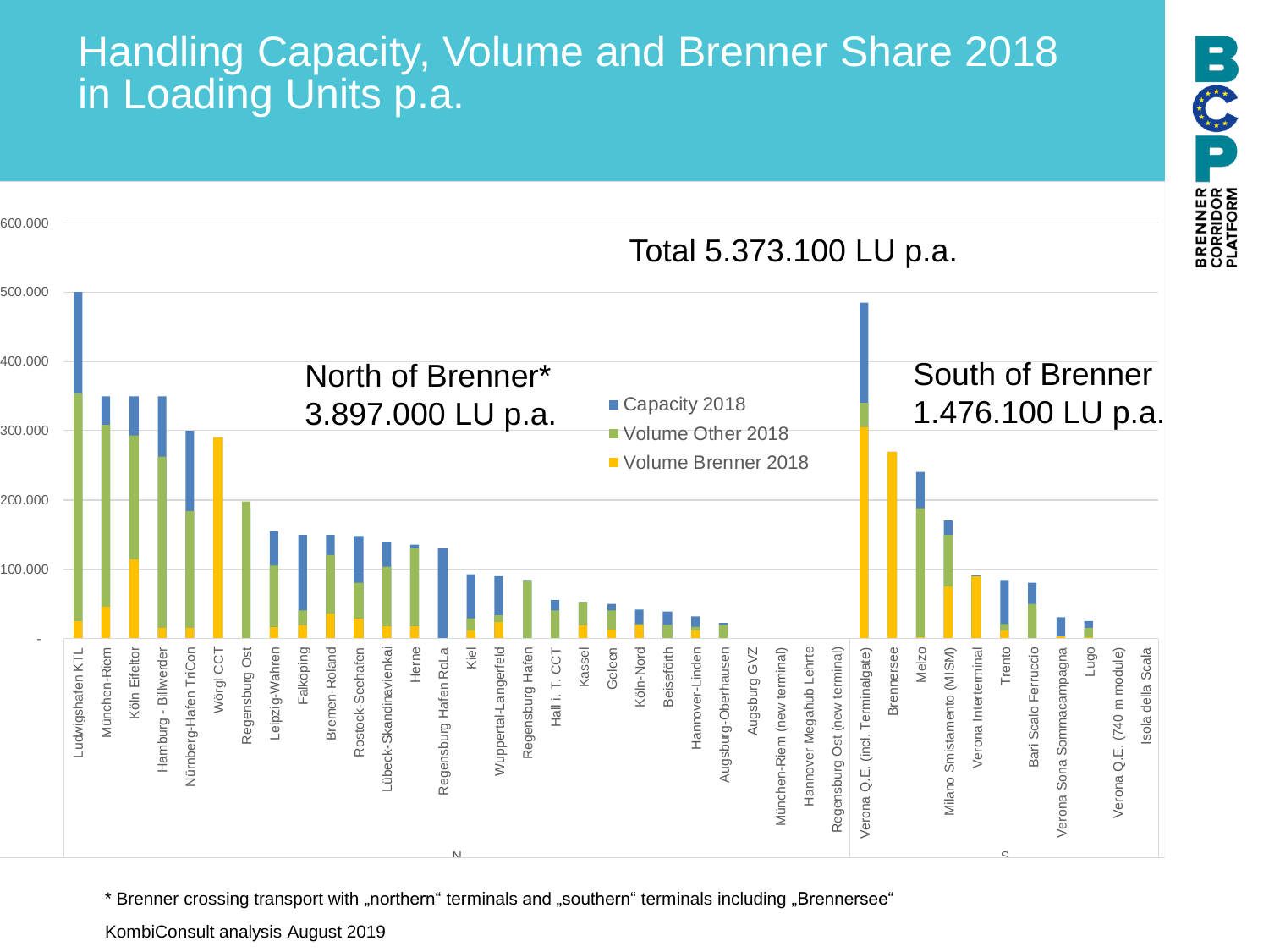# Handling Capacity, Volume and Brenner Share 2018 in Loading Units p.a.

**BCSP** 



\* Brenner crossing transport with "northern" terminals and "southern" terminals including "Brennersee"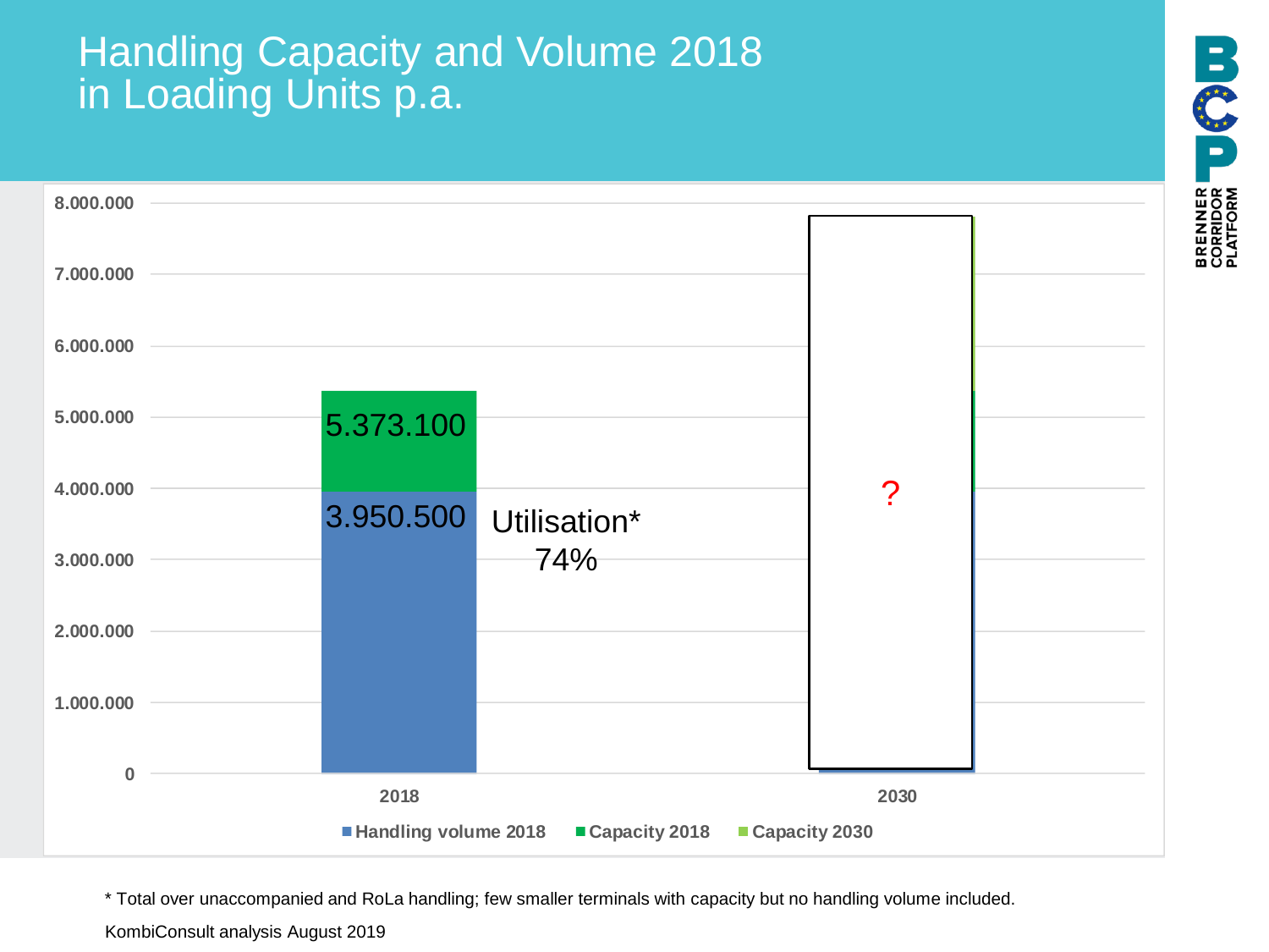### Handling Capacity and Volume 2018 in Loading Units p.a.



\* Total over unaccompanied and RoLa handling; few smaller terminals with capacity but no handling volume included.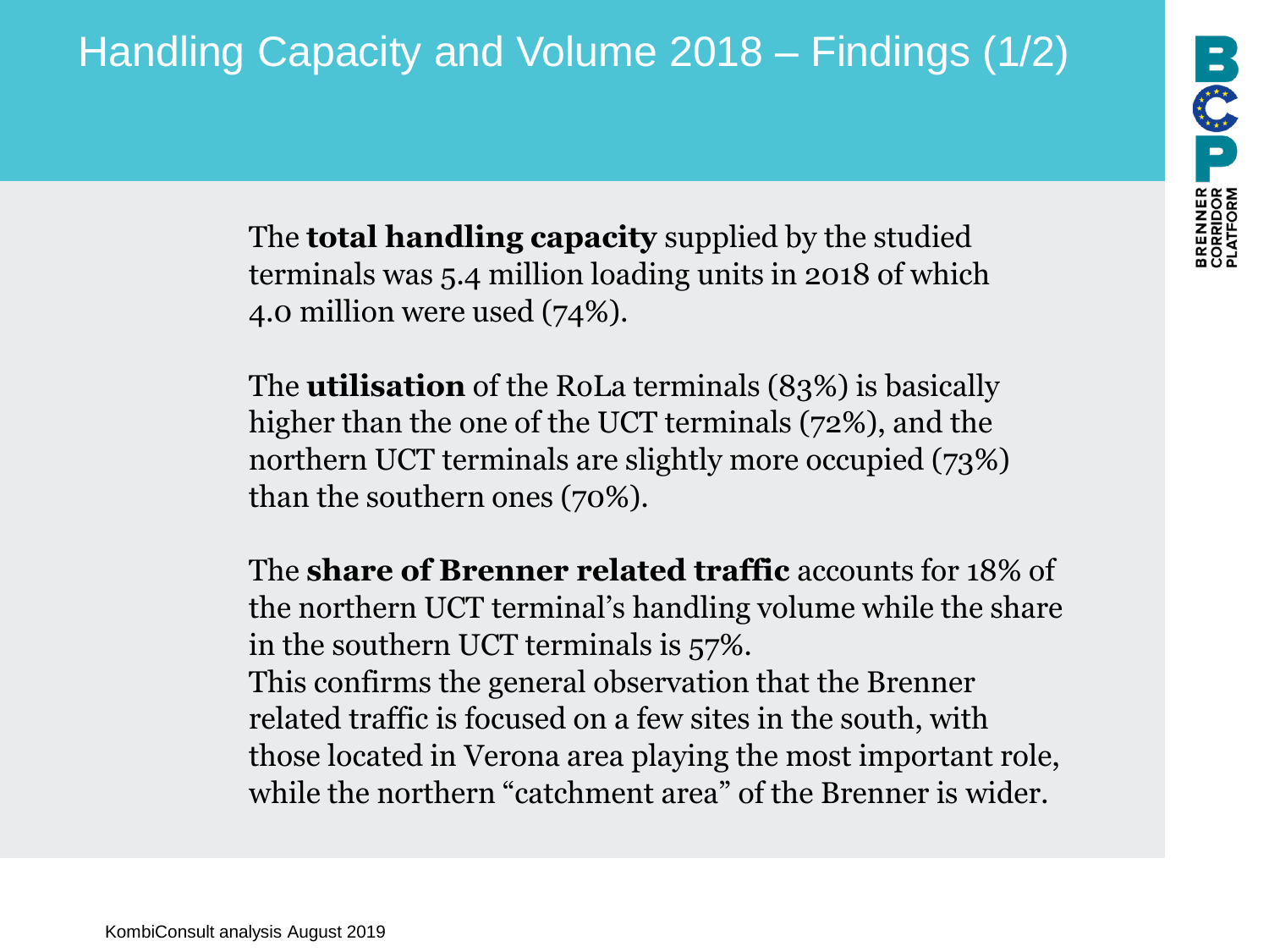# Handling Capacity and Volume 2018 – Findings (1/2)

The **total handling capacity** supplied by the studied terminals was 5.4 million loading units in 2018 of which 4.0 million were used (74%).

The **utilisation** of the RoLa terminals (83%) is basically higher than the one of the UCT terminals (72%), and the northern UCT terminals are slightly more occupied (73%) than the southern ones (70%).

The **share of Brenner related traffic** accounts for 18% of the northern UCT terminal's handling volume while the share in the southern UCT terminals is 57%. This confirms the general observation that the Brenner related traffic is focused on a few sites in the south, with those located in Verona area playing the most important role, while the northern "catchment area" of the Brenner is wider.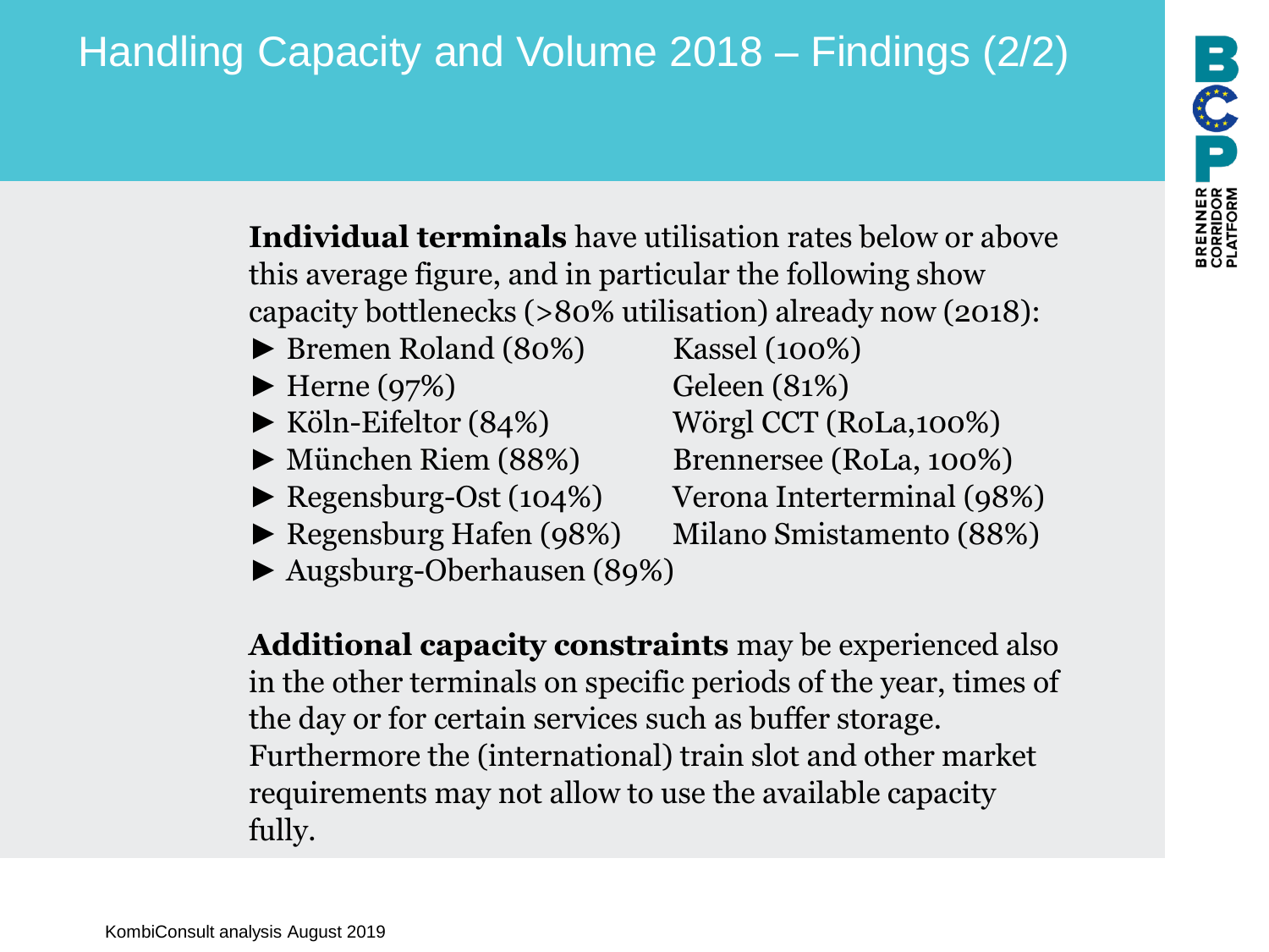# Handling Capacity and Volume 2018 – Findings (2/2)

**Individual terminals** have utilisation rates below or above this average figure, and in particular the following show capacity bottlenecks (>80% utilisation) already now (2018):

- ► Bremen Roland (80%) Kassel (100%)
- $\blacktriangleright$  Herne (97%) Geleen (81%)
- 
- 
- 
- ► Regensburg Hafen (98%) Milano Smistamento (88%)
- ► Augsburg-Oberhausen (89%)

**Additional capacity constraints** may be experienced also in the other terminals on specific periods of the year, times of the day or for certain services such as buffer storage. Furthermore the (international) train slot and other market requirements may not allow to use the available capacity fully.

► Köln-Eifeltor (84%) Wörgl CCT (RoLa,100%) ► München Riem (88%) Brennersee (RoLa, 100%) ► Regensburg-Ost (104%) Verona Interterminal (98%)

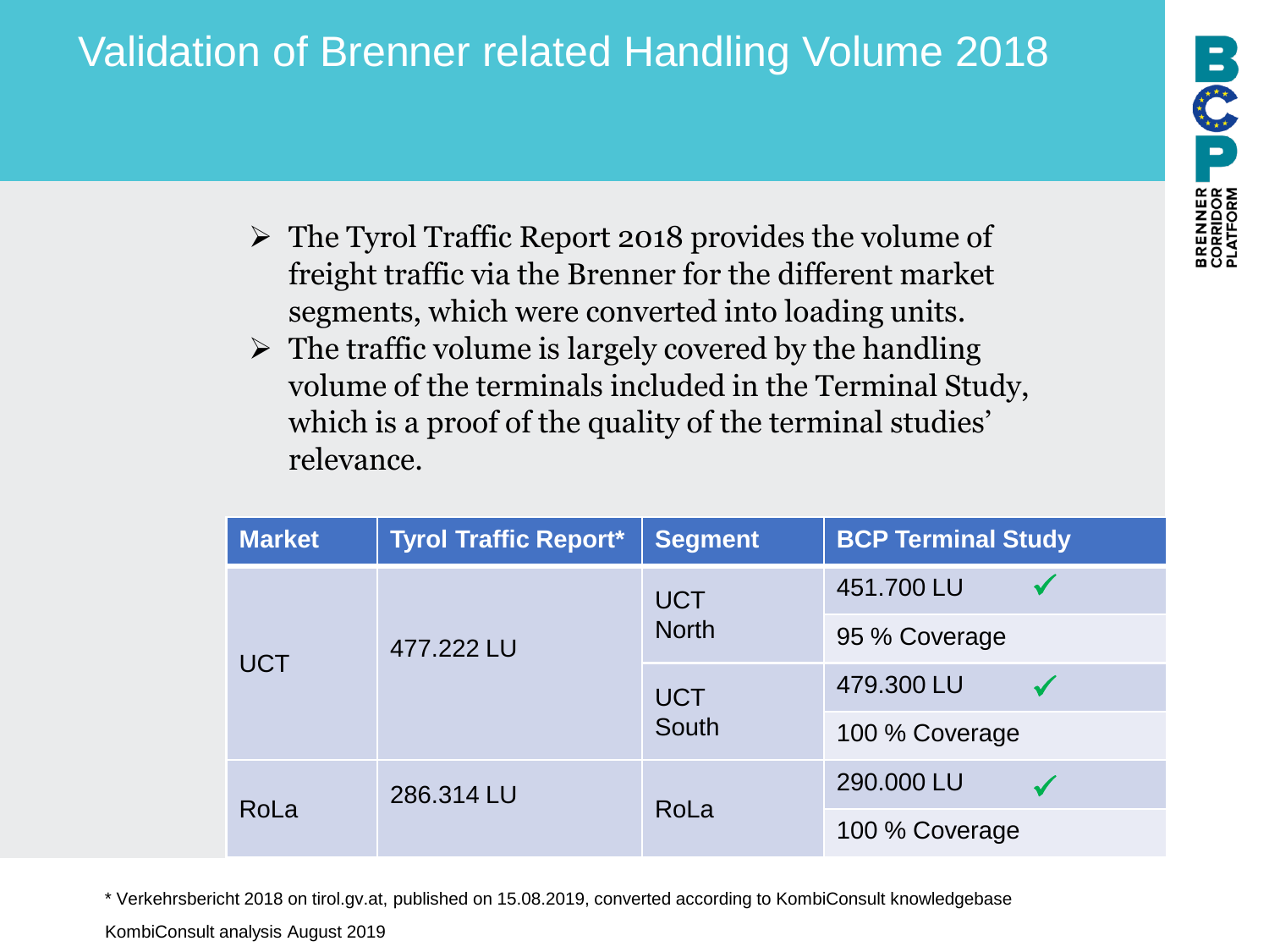# Validation of Brenner related Handling Volume 2018

PREDICT DECIDE

- ➢ The Tyrol Traffic Report 2018 provides the volume of freight traffic via the Brenner for the different market segments, which were converted into loading units.
- $\triangleright$  The traffic volume is largely covered by the handling volume of the terminals included in the Terminal Study, which is a proof of the quality of the terminal studies' relevance.

| <b>Market</b> | <b>Tyrol Traffic Report*</b> | <b>Segment</b>      | <b>BCP Terminal Study</b> |
|---------------|------------------------------|---------------------|---------------------------|
|               |                              | <b>UCT</b>          | 451.700 LU                |
|               | 477.222 LU                   | <b>North</b>        | 95 % Coverage             |
| <b>UCT</b>    |                              | <b>UCT</b><br>South | 479.300 LU                |
|               |                              |                     | 100 % Coverage            |
| 286.314 LU    |                              |                     | 290.000 LU                |
| RoLa          |                              | RoLa                | 100 % Coverage            |

\* Verkehrsbericht 2018 on tirol.gv.at, published on 15.08.2019, converted according to KombiConsult knowledgebase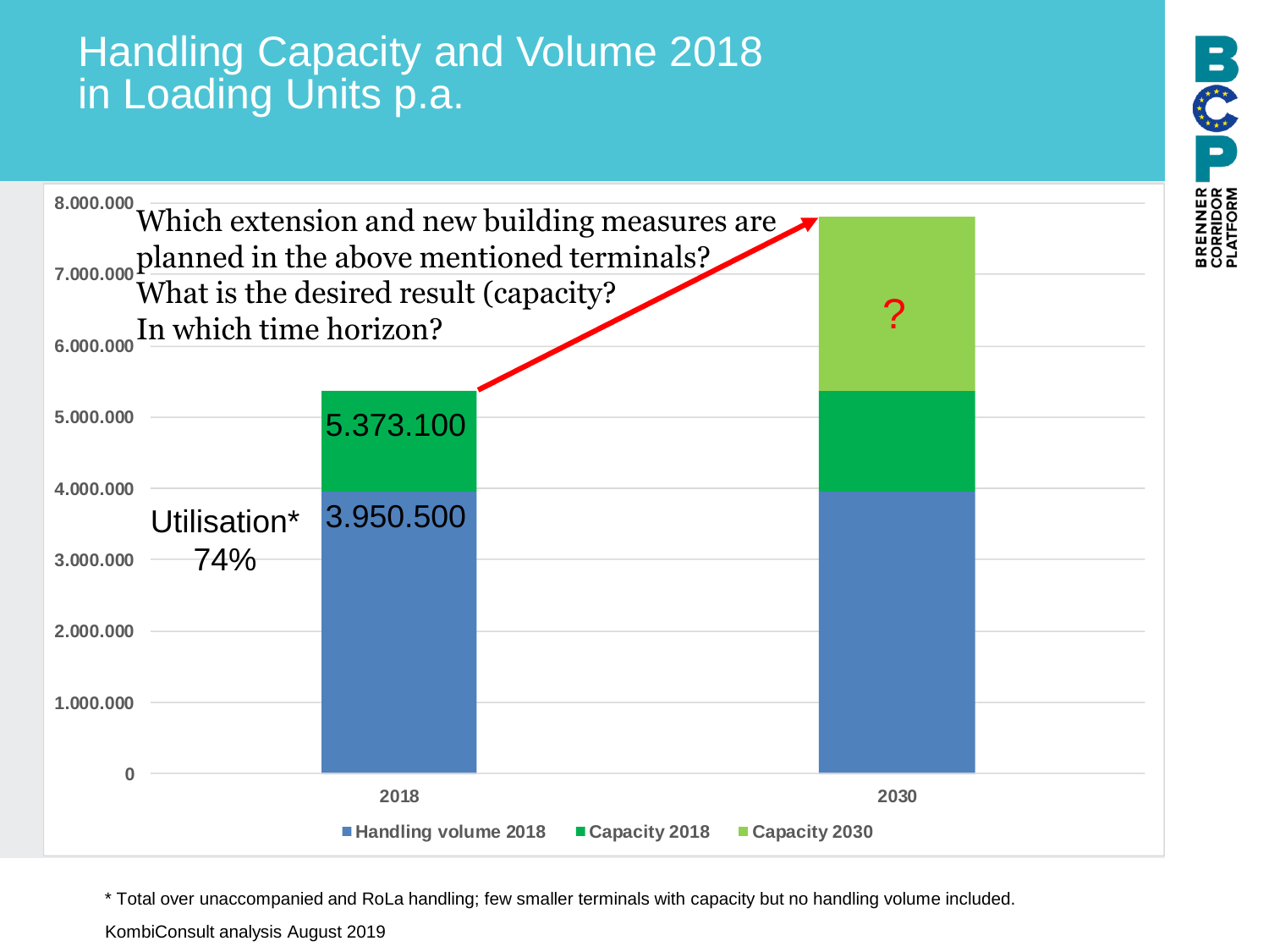# Handling Capacity and Volume 2018 in Loading Units p.a.



\* Total over unaccompanied and RoLa handling; few smaller terminals with capacity but no handling volume included.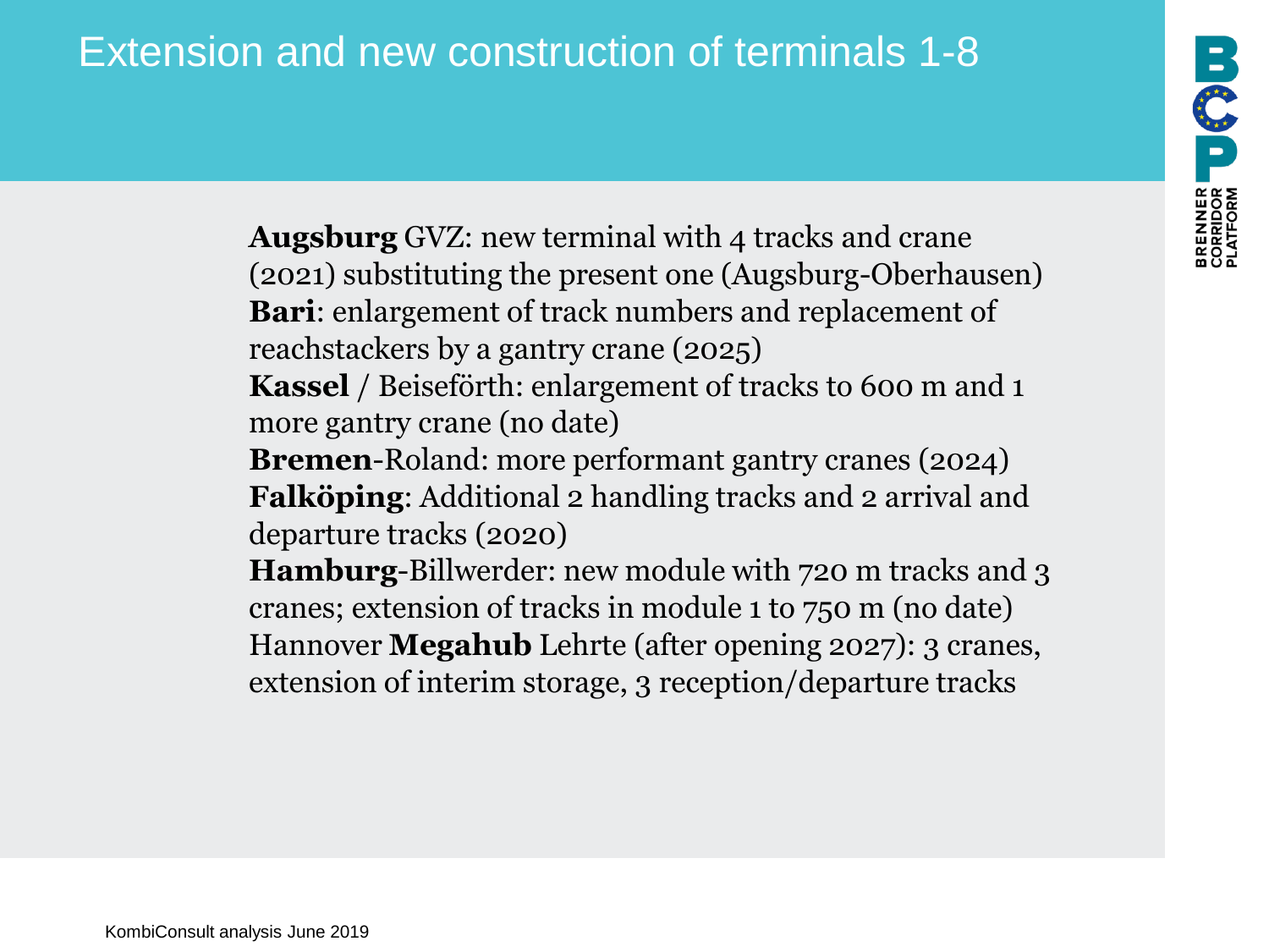**Augsburg** GVZ: new terminal with 4 tracks and crane (2021) substituting the present one (Augsburg-Oberhausen) **Bari**: enlargement of track numbers and replacement of reachstackers by a gantry crane (2025)

**Kassel** / Beiseförth: enlargement of tracks to 600 m and 1 more gantry crane (no date)

**Bremen**-Roland: more performant gantry cranes (2024) **Falköping**: Additional 2 handling tracks and 2 arrival and departure tracks (2020)

**Hamburg**-Billwerder: new module with 720 m tracks and 3 cranes; extension of tracks in module 1 to 750 m (no date) Hannover **Megahub** Lehrte (after opening 2027): 3 cranes, extension of interim storage, 3 reception/departure tracks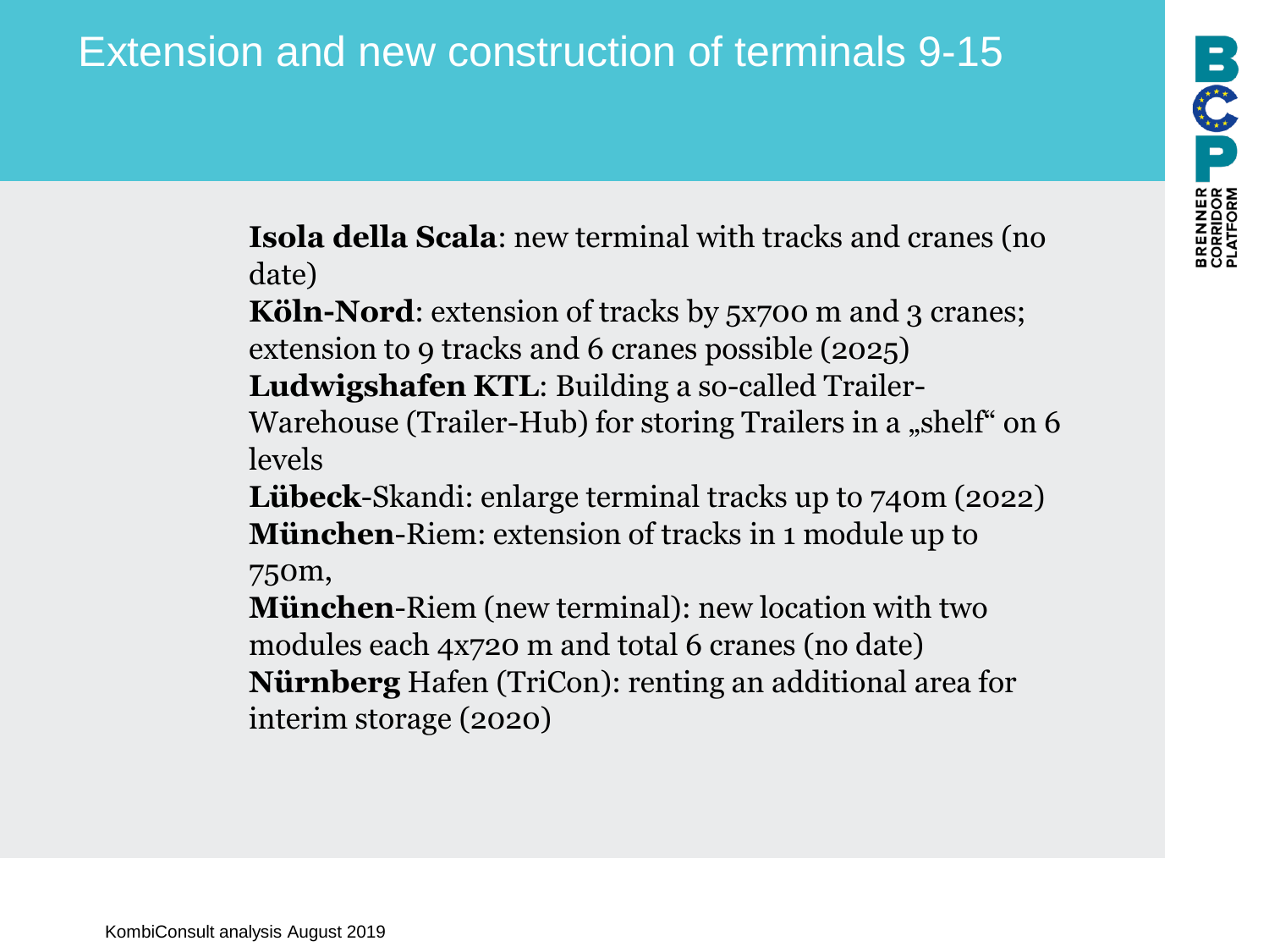**Isola della Scala**: new terminal with tracks and cranes (no date)

**Köln-Nord:** extension of tracks by 5x700 m and 3 cranes; extension to 9 tracks and 6 cranes possible (2025) **Ludwigshafen KTL**: Building a so-called Trailer-

Warehouse (Trailer-Hub) for storing Trailers in a "shelf" on 6 levels

**Lübeck**-Skandi: enlarge terminal tracks up to 740m (2022) **München**-Riem: extension of tracks in 1 module up to 750m,

**München**-Riem (new terminal): new location with two modules each 4x720 m and total 6 cranes (no date) **Nürnberg** Hafen (TriCon): renting an additional area for interim storage (2020)

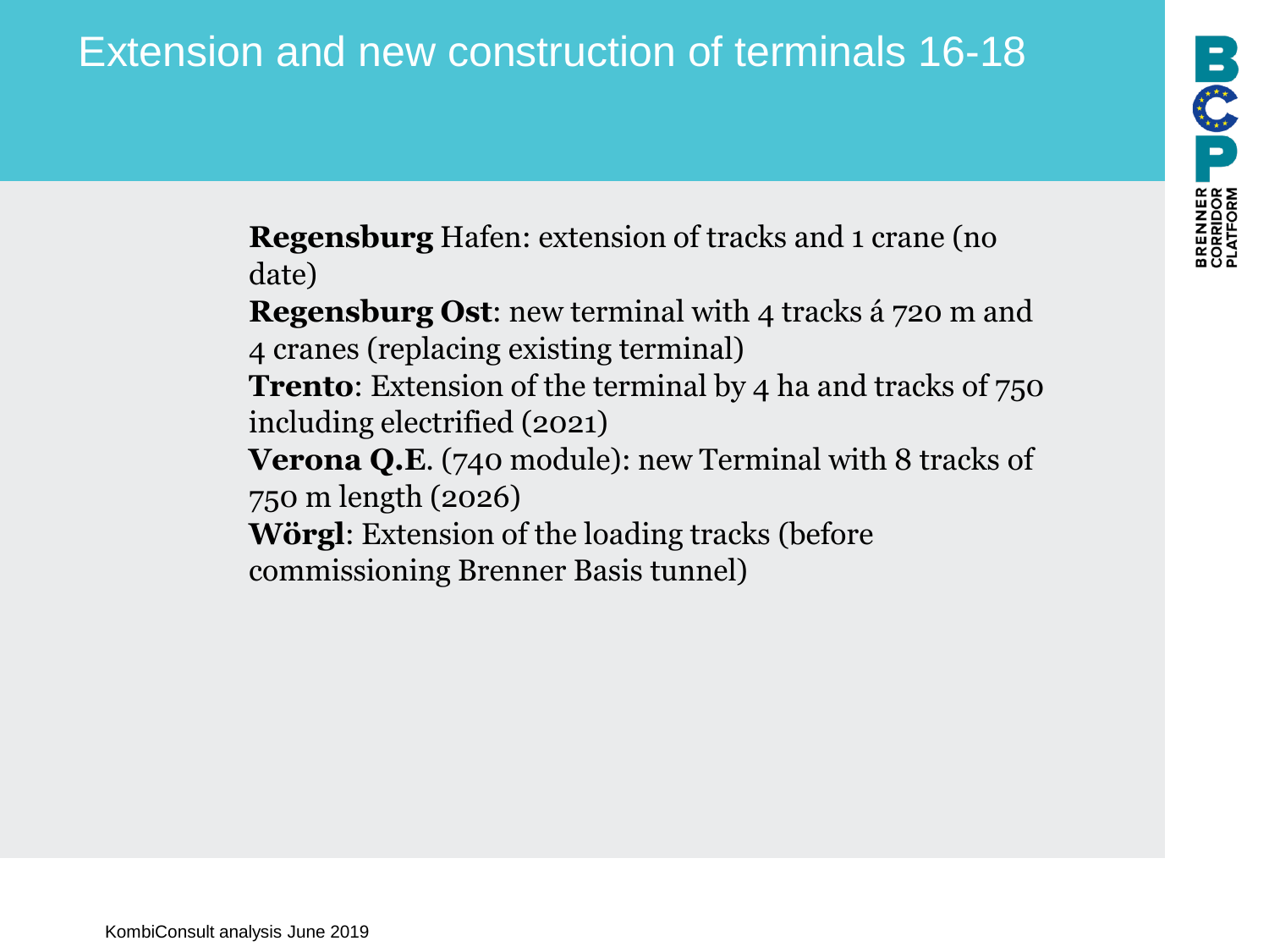NNER USI

**Regensburg** Hafen: extension of tracks and 1 crane (no date)

**Regensburg Ost**: new terminal with 4 tracks á 720 m and 4 cranes (replacing existing terminal) **Trento**: Extension of the terminal by 4 ha and tracks of 750 including electrified (2021) **Verona Q.E.** (740 module): new Terminal with 8 tracks of 750 m length (2026) **Wörgl**: Extension of the loading tracks (before commissioning Brenner Basis tunnel)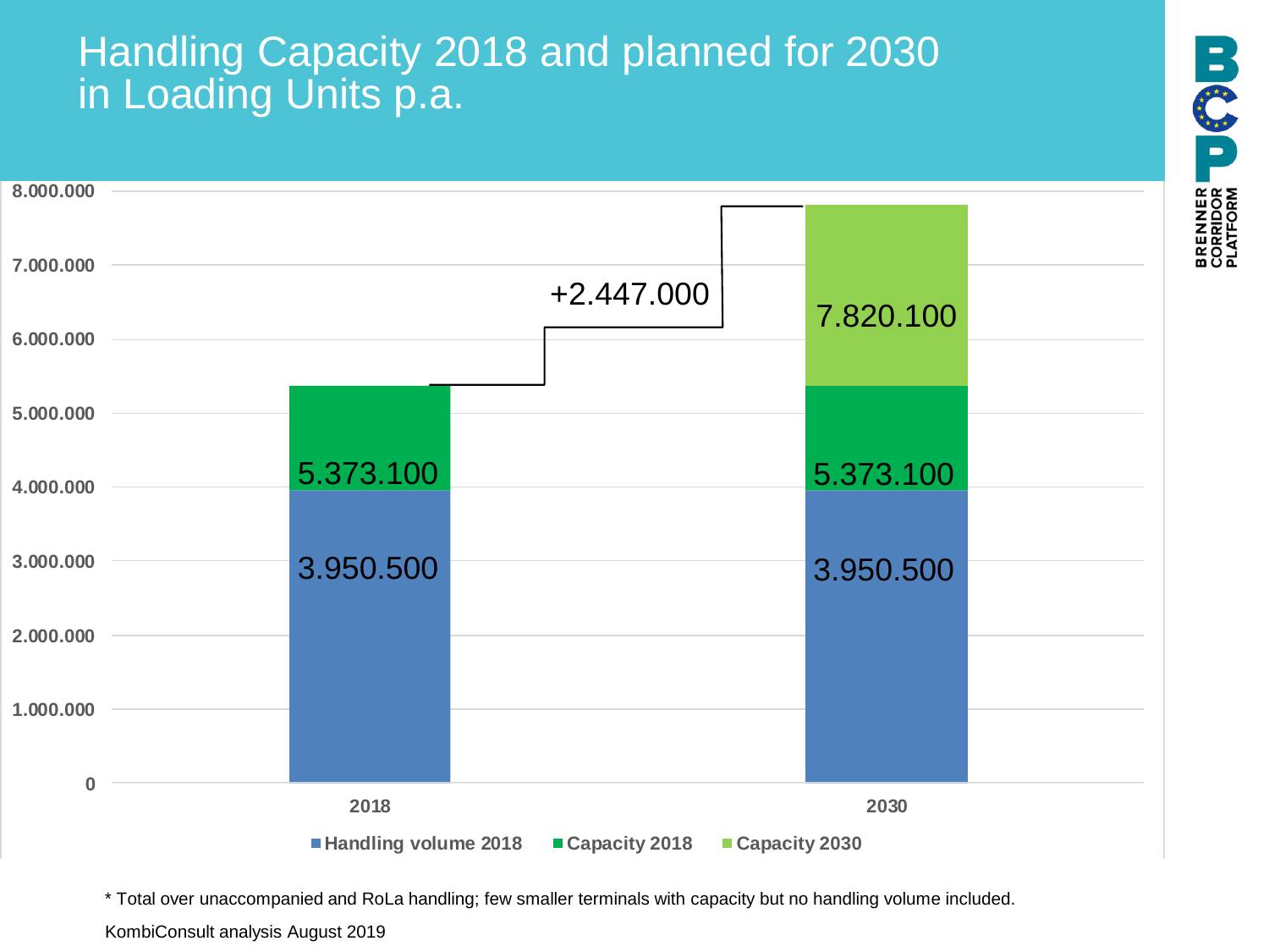### Handling Capacity 2018 and planned for 2030 in Loading Units p.a.



\* Total over unaccompanied and RoLa handling; few smaller terminals with capacity but no handling volume included.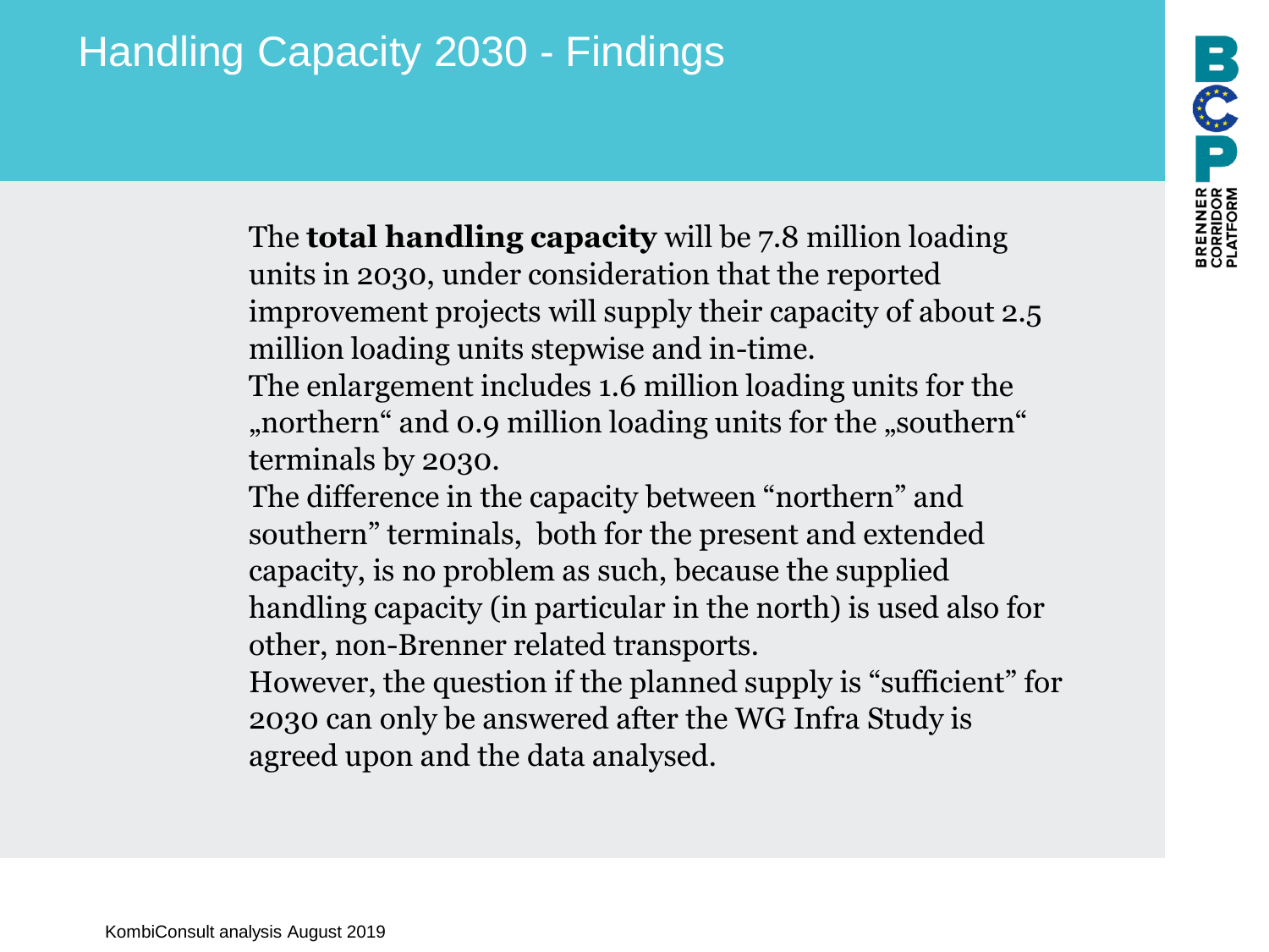# Handling Capacity 2030 - Findings

The **total handling capacity** will be 7.8 million loading units in 2030, under consideration that the reported improvement projects will supply their capacity of about 2.5 million loading units stepwise and in-time.

The enlargement includes 1.6 million loading units for the "northern" and 0.9 million loading units for the "southern" terminals by 2030.

The difference in the capacity between "northern" and southern" terminals, both for the present and extended capacity, is no problem as such, because the supplied handling capacity (in particular in the north) is used also for other, non-Brenner related transports.

However, the question if the planned supply is "sufficient" for 2030 can only be answered after the WG Infra Study is agreed upon and the data analysed.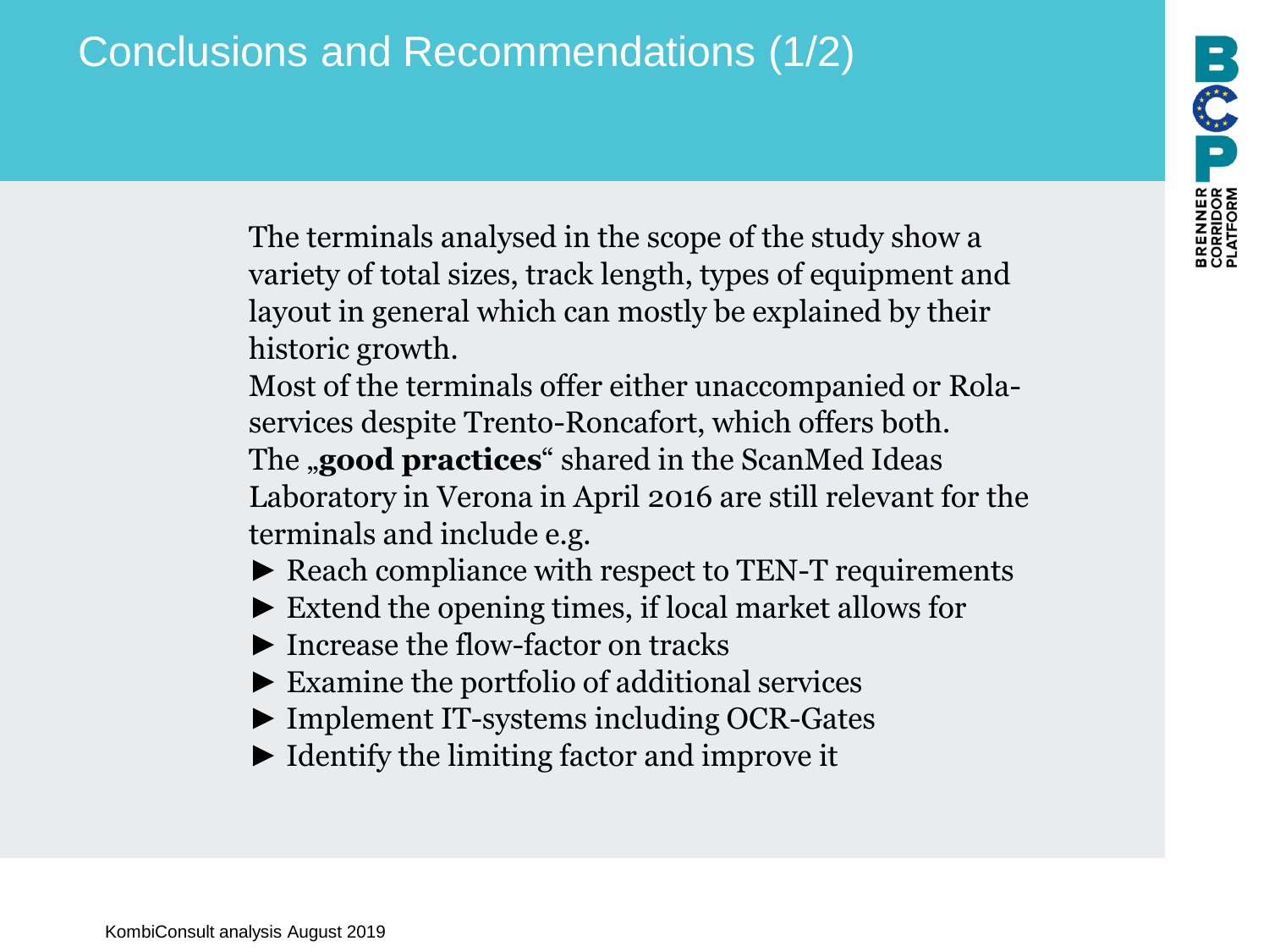# Conclusions and Recommendations (1/2)

The terminals analysed in the scope of the study show a variety of total sizes, track length, types of equipment and layout in general which can mostly be explained by their historic growth.

Most of the terminals offer either unaccompanied or Rolaservices despite Trento-Roncafort, which offers both. The **,good practices**" shared in the ScanMed Ideas Laboratory in Verona in April 2016 are still relevant for the terminals and include e.g.

► Reach compliance with respect to TEN-T requirements

- ► Extend the opening times, if local market allows for
- ► Increase the flow-factor on tracks
- ► Examine the portfolio of additional services
- ► Implement IT-systems including OCR-Gates
- ► Identify the limiting factor and improve it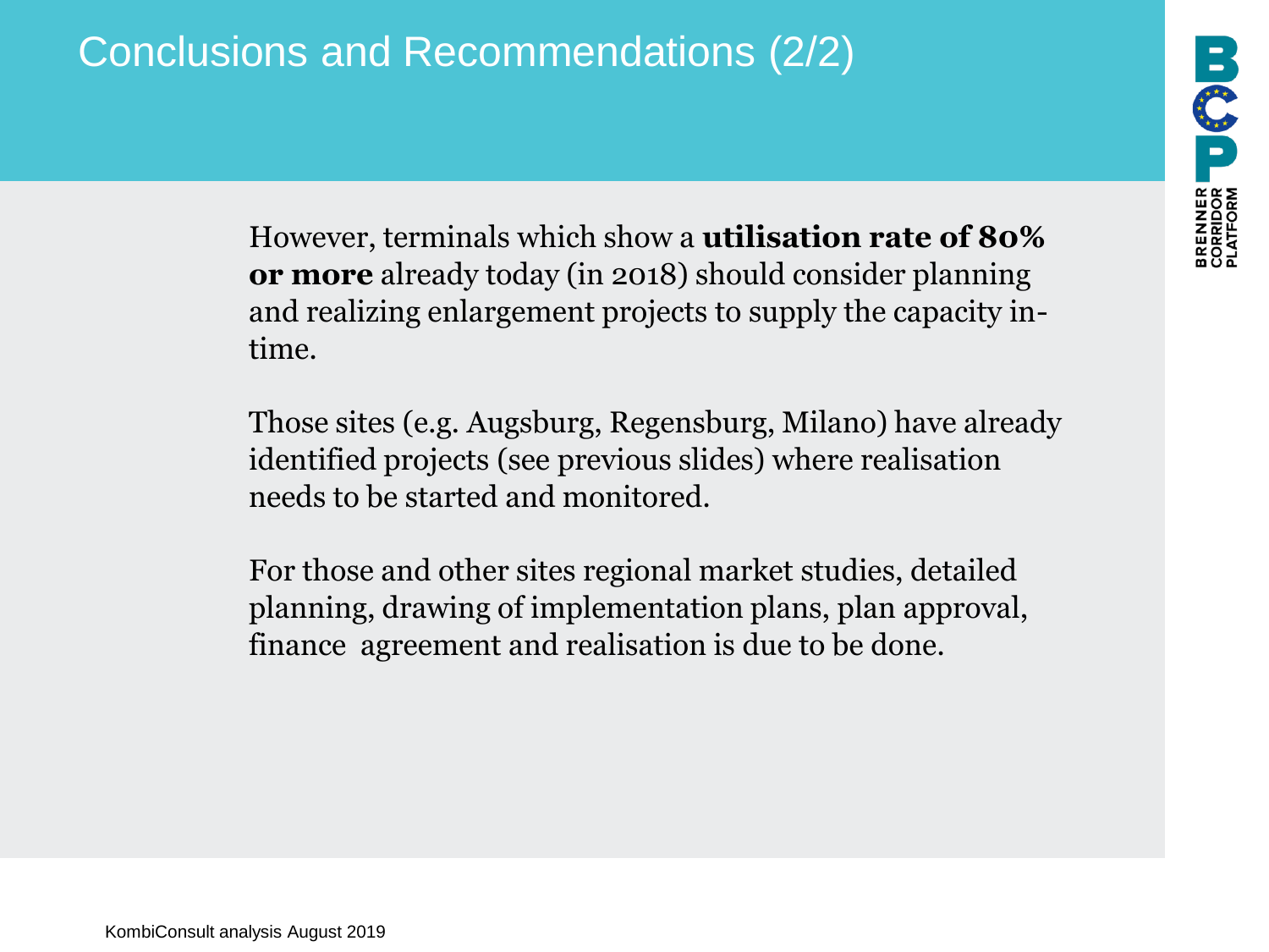# Conclusions and Recommendations (2/2)

However, terminals which show a **utilisation rate of 80% or more** already today (in 2018) should consider planning and realizing enlargement projects to supply the capacity intime.

Those sites (e.g. Augsburg, Regensburg, Milano) have already identified projects (see previous slides) where realisation needs to be started and monitored.

For those and other sites regional market studies, detailed planning, drawing of implementation plans, plan approval, finance agreement and realisation is due to be done.

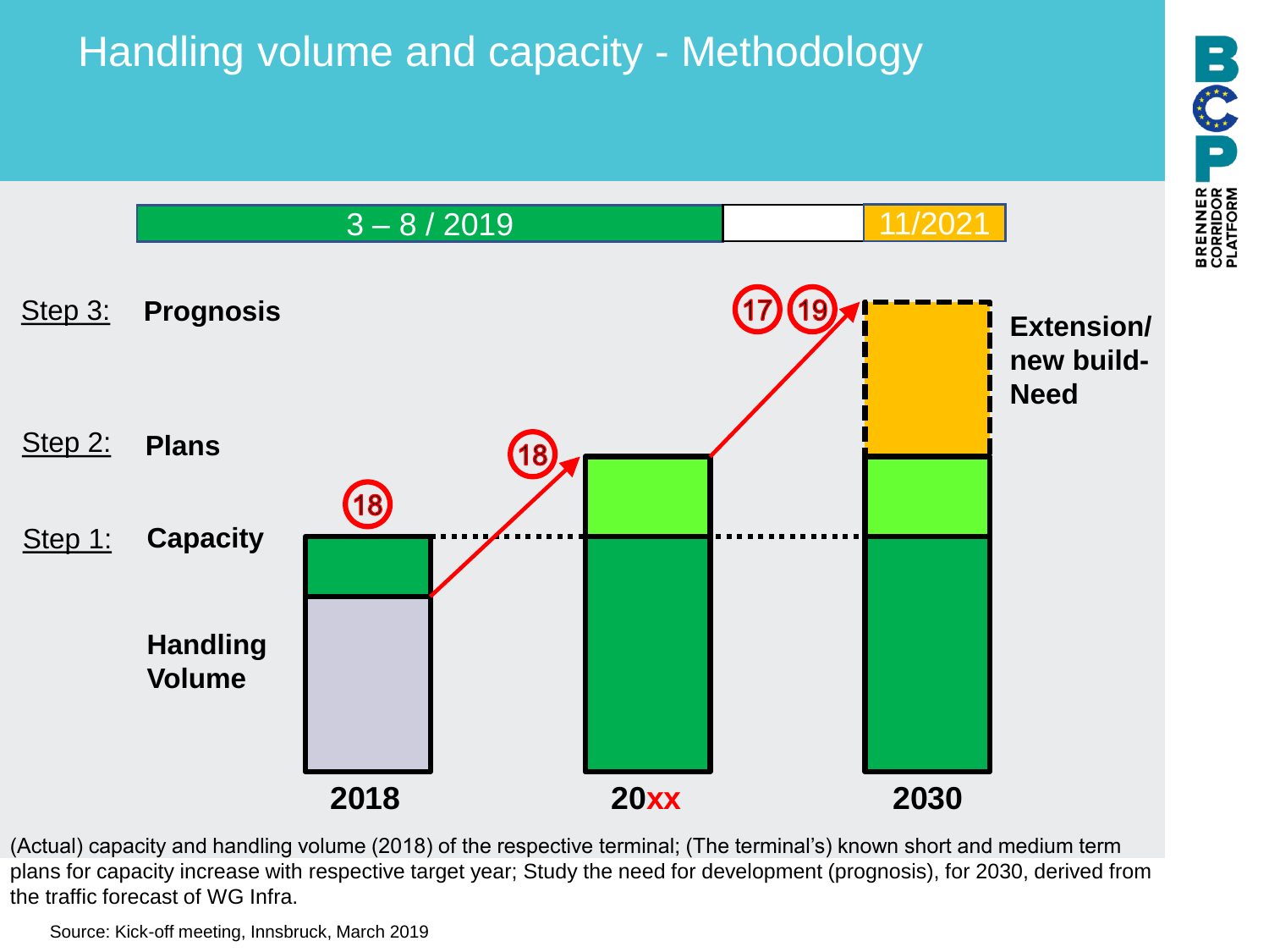# Handling volume and capacity - Methodology



(Actual) capacity and handling volume (2018) of the respective terminal; (The terminal's) known short and medium term plans for capacity increase with respective target year; Study the need for development (prognosis), for 2030, derived from the traffic forecast of WG Infra.

Source: Kick-off meeting, Innsbruck, March 2019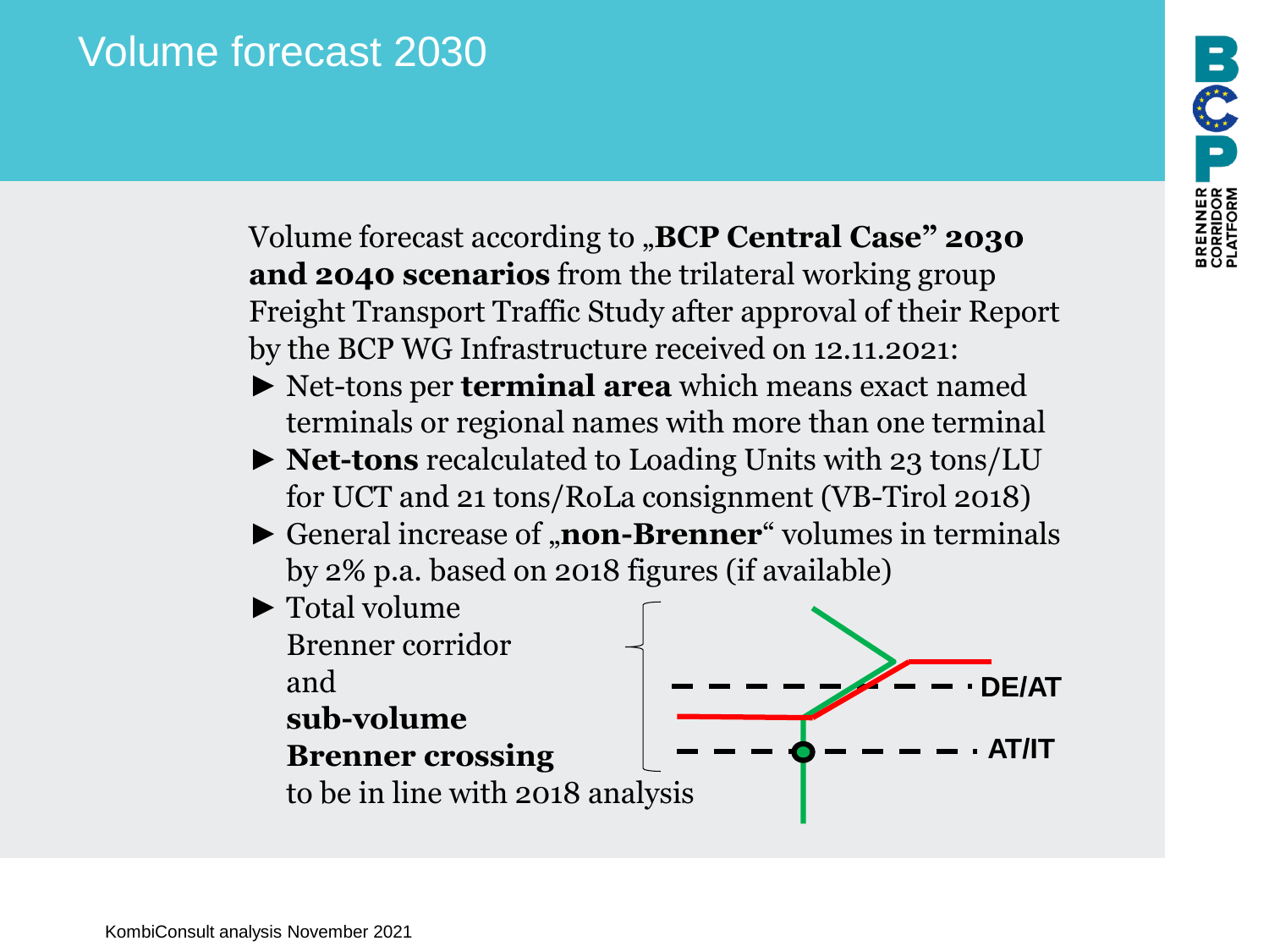# Volume forecast 2030

Volume forecast according to "**BCP Central Case" 2030 and 2040 scenarios** from the trilateral working group Freight Transport Traffic Study after approval of their Report by the BCP WG Infrastructure received on 12.11.2021:

- ► Net-tons per **terminal area** which means exact named terminals or regional names with more than one terminal
- ► **Net-tons** recalculated to Loading Units with 23 tons/LU for UCT and 21 tons/RoLa consignment (VB-Tirol 2018)
- ► General increase of "**non-Brenner**" volumes in terminals by 2% p.a. based on 2018 figures (if available)



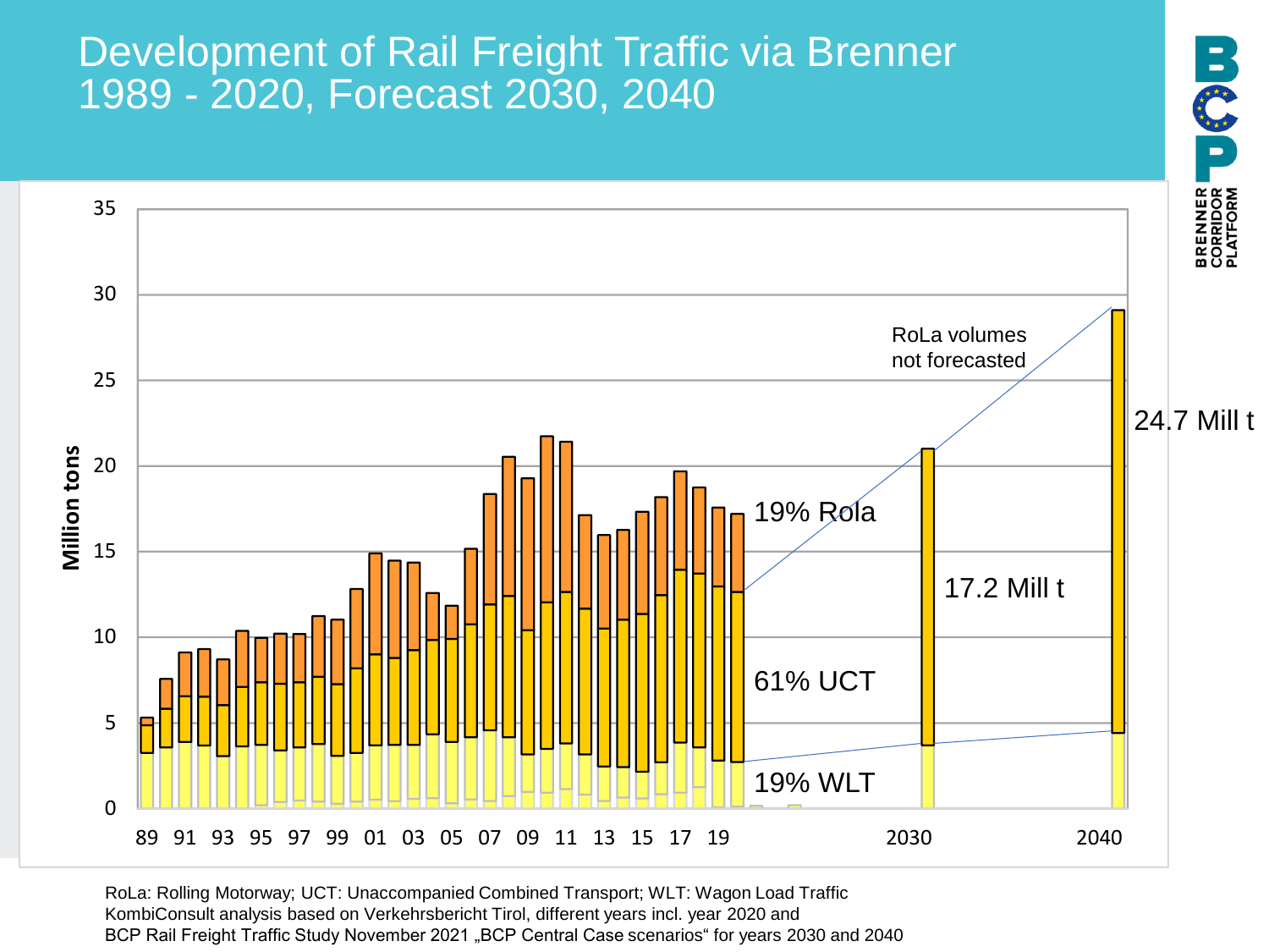### Development of Rail Freight Traffic via Brenner 1989 - 2020, Forecast 2030, 2040



RoLa: Rolling Motorway; UCT: Unaccompanied Combined Transport; WLT: Wagon Load Traffic KombiConsult analysis based on Verkehrsbericht Tirol, different years incl. year 2020 and BCP Rail Freight Traffic Study November 2021 "BCP Central Case scenarios" for years 2030 and 2040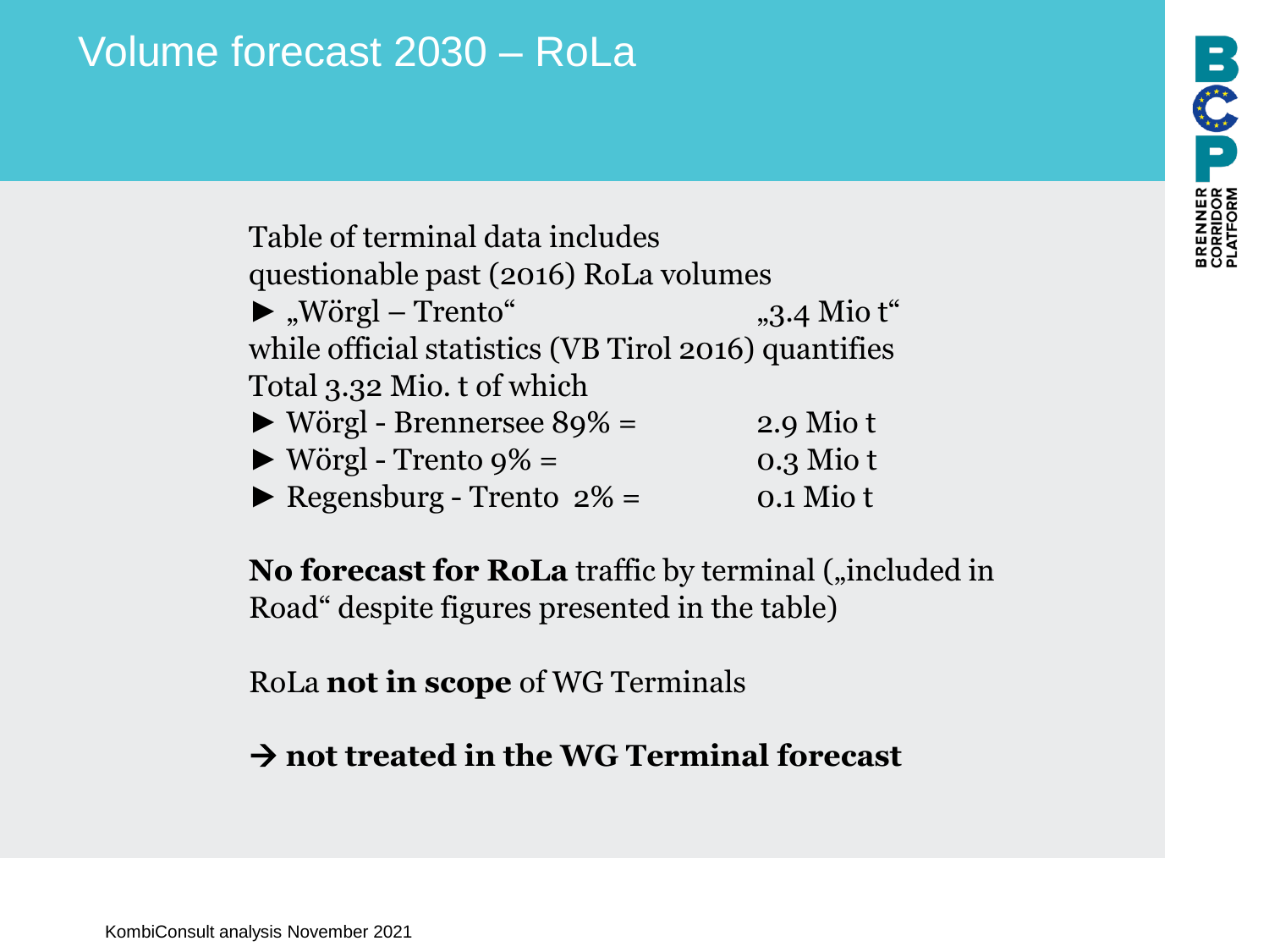# Volume forecast 2030 – RoLa

Table of terminal data includes questionable past (2016) RoLa volumes  $\blacktriangleright$ , Wörgl – Trento" "3.4 Mio t while official statistics (VB Tirol 2016) quantifies Total 3.32 Mio. t of which  $\triangleright$  Wörgl - Brennersee 89% = 2.9 Mio t  $\triangleright$  Wörgl - Trento 9% = 0.3 Mio t

 $\blacktriangleright$  Regensburg - Trento 2% = 0.1 Mio t

**No forecast for RoLa** traffic by terminal ("included in Road" despite figures presented in the table)

RoLa **not in scope** of WG Terminals

→ **not treated in the WG Terminal forecast**

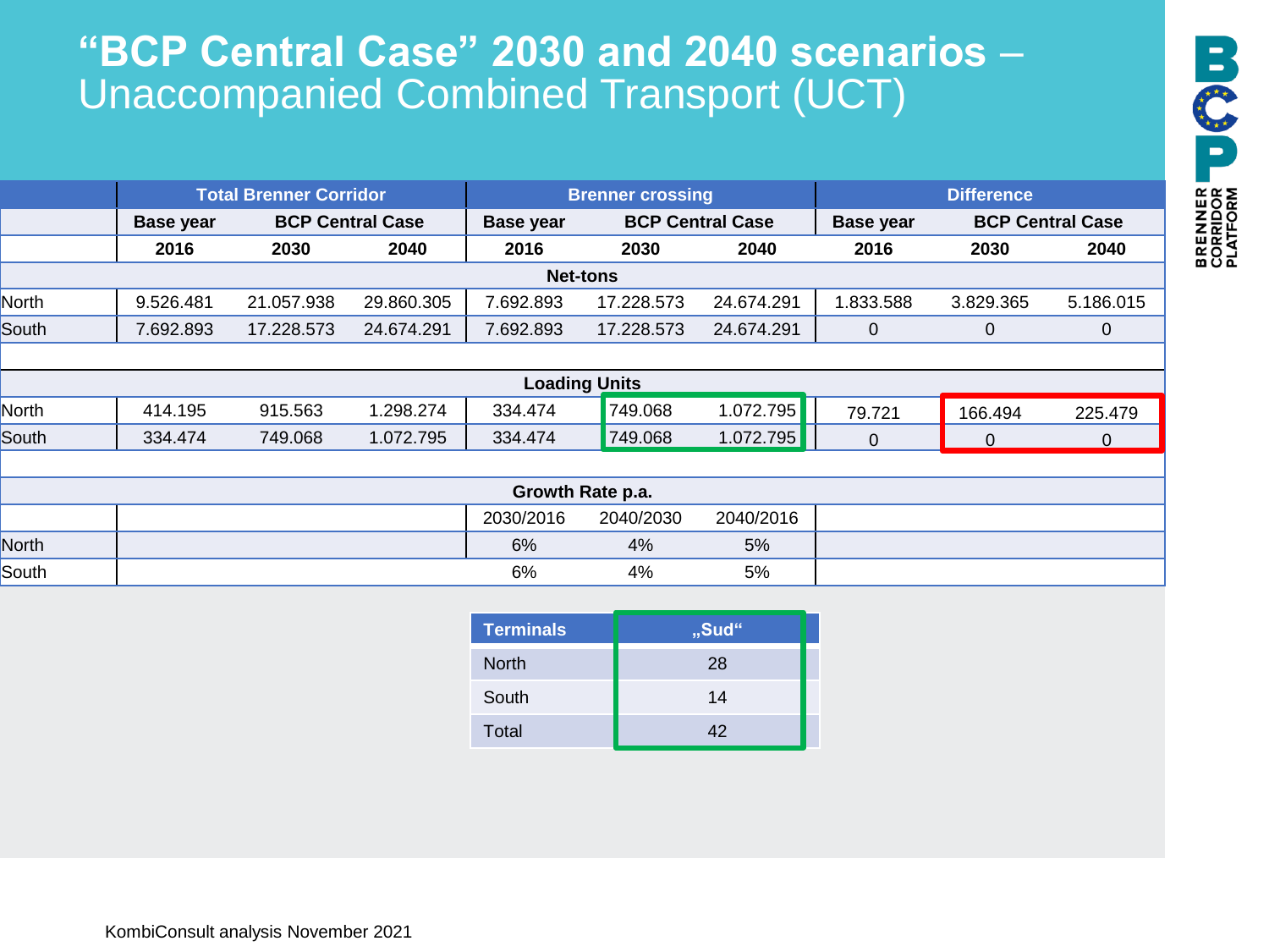# **"BCP Central Case" 2030 and 2040 scenarios** – Unaccompanied Combined Transport (UCT)

|       | <b>Total Brenner Corridor</b> |                         | <b>Brenner crossing</b> |                  |            | <b>Difference</b>       |           |                                             |           |
|-------|-------------------------------|-------------------------|-------------------------|------------------|------------|-------------------------|-----------|---------------------------------------------|-----------|
|       | <b>Base year</b>              | <b>BCP Central Case</b> |                         | <b>Base year</b> |            | <b>BCP Central Case</b> |           | <b>BCP Central Case</b><br><b>Base year</b> |           |
|       | 2016                          | 2030                    | 2040                    | 2016             | 2030       | 2040                    | 2016      | 2030                                        | 2040      |
|       |                               |                         |                         | <b>Net-tons</b>  |            |                         |           |                                             |           |
| North | 9.526.481                     | 21.057.938              | 29.860.305              | 7.692.893        | 17.228.573 | 24.674.291              | 1.833.588 | 3.829.365                                   | 5.186.015 |
| South | 7.692.893                     | 17.228.573              | 24.674.291              | 7.692.893        | 17.228.573 | 24.674.291              |           | 0                                           |           |
|       |                               |                         |                         |                  |            |                         |           |                                             |           |

|       |         |         |          |         | <b>Loading Units</b> |           |        |         |         |
|-------|---------|---------|----------|---------|----------------------|-----------|--------|---------|---------|
| North | 414.195 | 915.563 | .298.274 | 334.474 | 749.068              | 1.072.795 | 79.721 | 166.494 | 225.479 |
| South | 334.474 | 749.068 | .072.795 | 334.474 | 749.068              | 1.072.795 |        |         |         |

| Growth Rate p.a. |  |           |           |           |  |
|------------------|--|-----------|-----------|-----------|--|
|                  |  | 2030/2016 | 2040/2030 | 2040/2016 |  |
| North            |  | 6%        | 4%        | 5%        |  |
| South            |  | 6%        | 4%        | 5%        |  |

| <b>Terminals</b> | "Sud" |
|------------------|-------|
| <b>North</b>     | 28    |
| South            | 14    |
| Total            | 42    |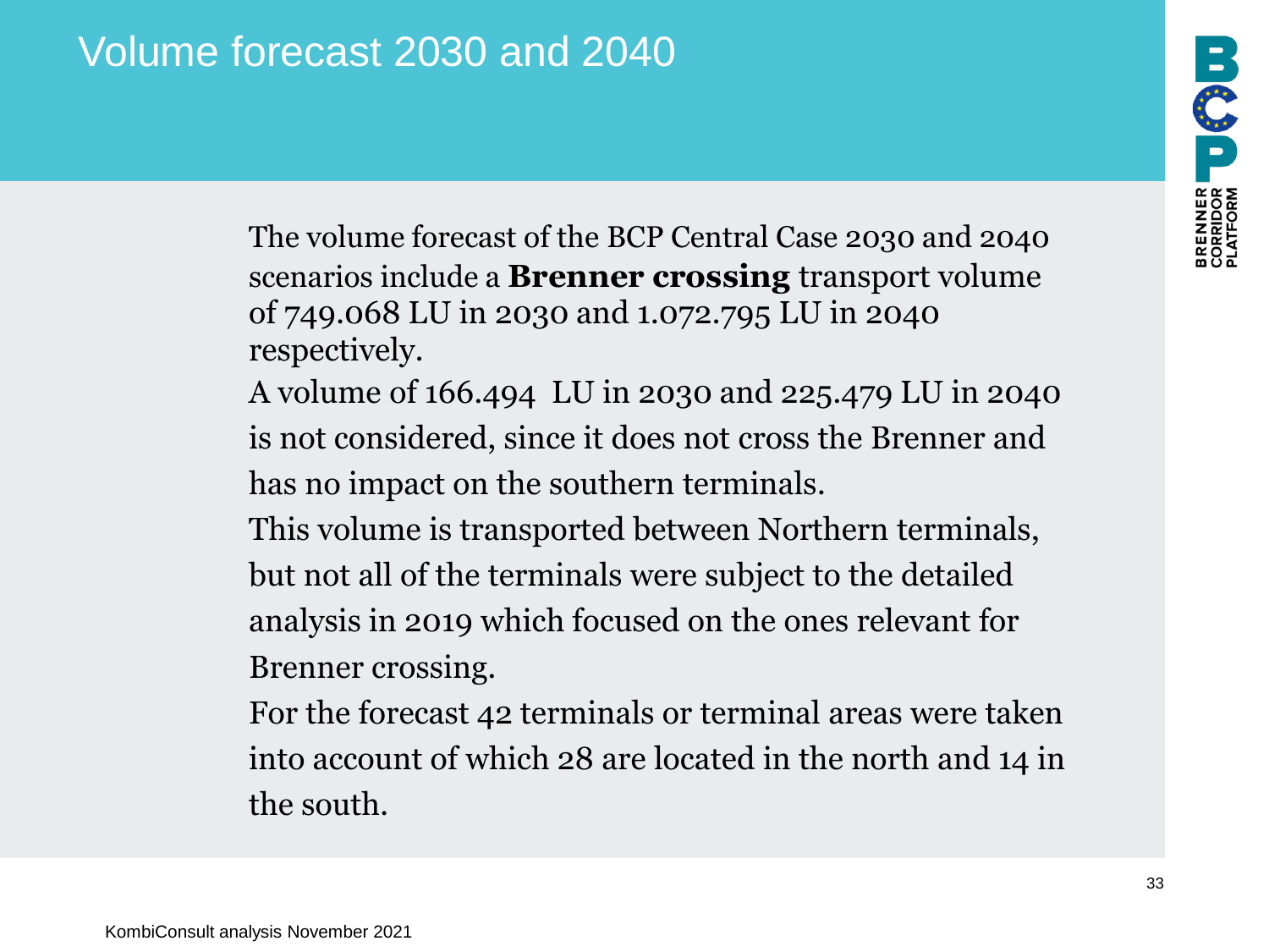The volume forecast of the BCP Central Case 2030 and 2040 scenarios include a **Brenner crossing** transport volume of 749.068 LU in 2030 and 1.072.795 LU in 2040 respectively.

A volume of 166.494 LU in 2030 and 225.479 LU in 2040 is not considered, since it does not cross the Brenner and has no impact on the southern terminals.

This volume is transported between Northern terminals, but not all of the terminals were subject to the detailed analysis in 2019 which focused on the ones relevant for Brenner crossing.

For the forecast 42 terminals or terminal areas were taken into account of which 28 are located in the north and 14 in the south.

PERNIER USI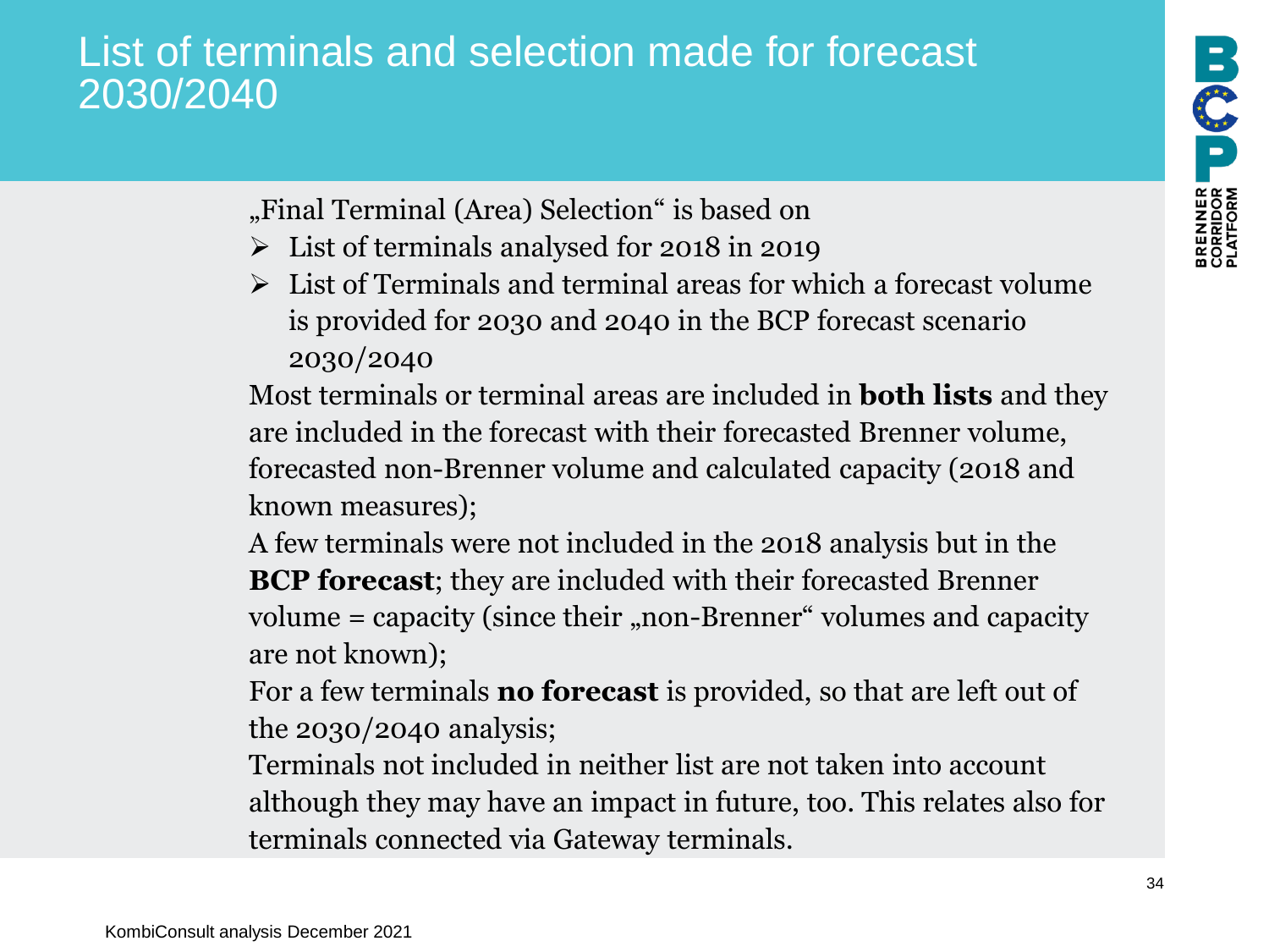# List of terminals and selection made for forecast 2030/2040

- "Final Terminal (Area) Selection" is based on
- ➢ List of terminals analysed for 2018 in 2019
- $\triangleright$  List of Terminals and terminal areas for which a forecast volume is provided for 2030 and 2040 in the BCP forecast scenario 2030/2040

Most terminals or terminal areas are included in **both lists** and they are included in the forecast with their forecasted Brenner volume, forecasted non-Brenner volume and calculated capacity (2018 and known measures);

A few terminals were not included in the 2018 analysis but in the **BCP forecast**; they are included with their forecasted Brenner volume  $=$  capacity (since their "non-Brenner" volumes and capacity are not known);

For a few terminals **no forecast** is provided, so that are left out of the 2030/2040 analysis;

Terminals not included in neither list are not taken into account although they may have an impact in future, too. This relates also for terminals connected via Gateway terminals.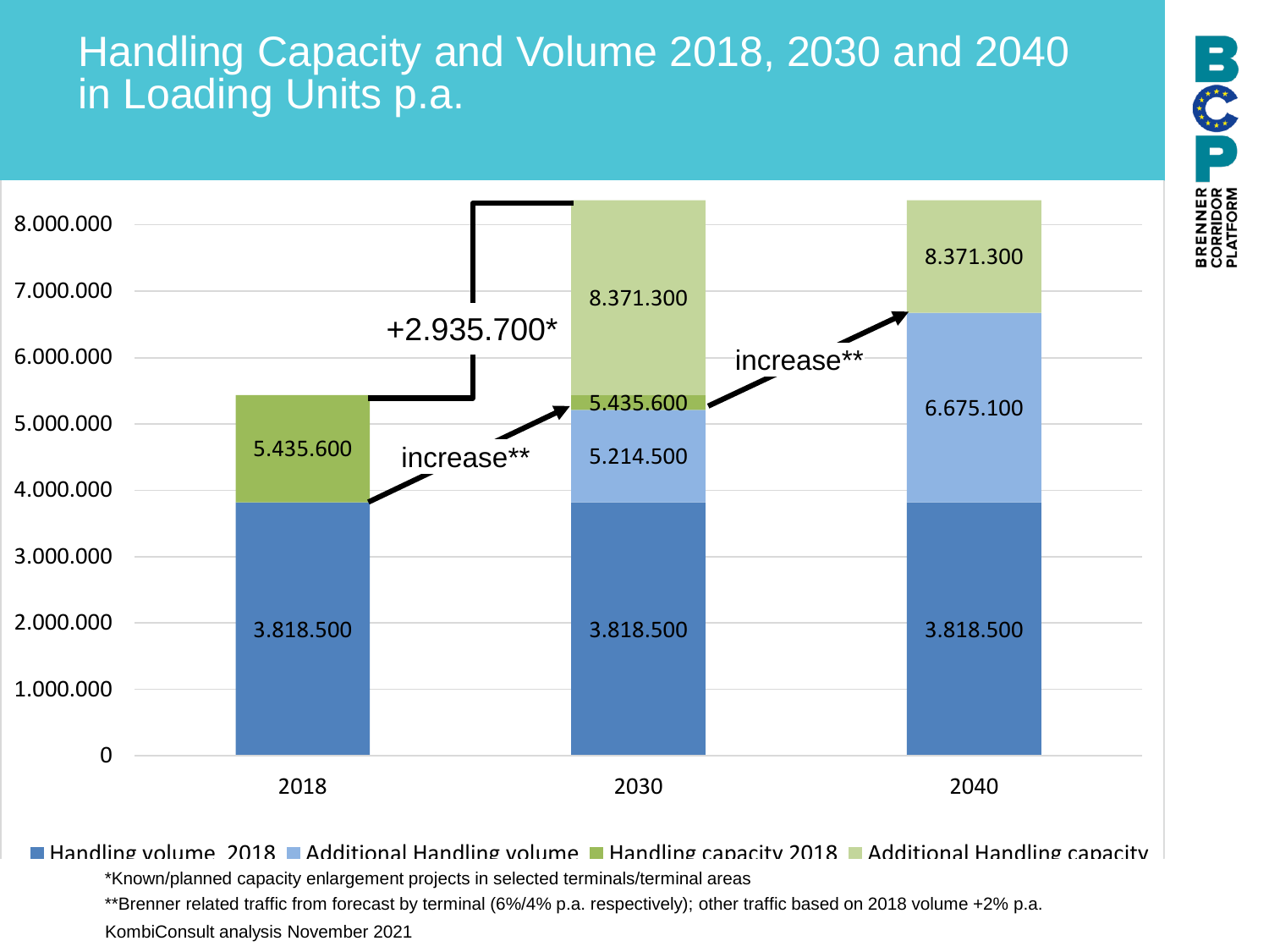# Handling Capacity and Volume 2018, 2030 and 2040 in Loading Units p.a.



**Handling volume 2018 Additional Handling volume Handling capacity 2018 Additional Handling capacity** \*Known/planned capacity enlargement projects in selected terminals/terminal areas

\*\*Brenner related traffic from forecast by terminal (6%/4% p.a. respectively); other traffic based on 2018 volume +2% p.a.

KombiConsult analysis November 2021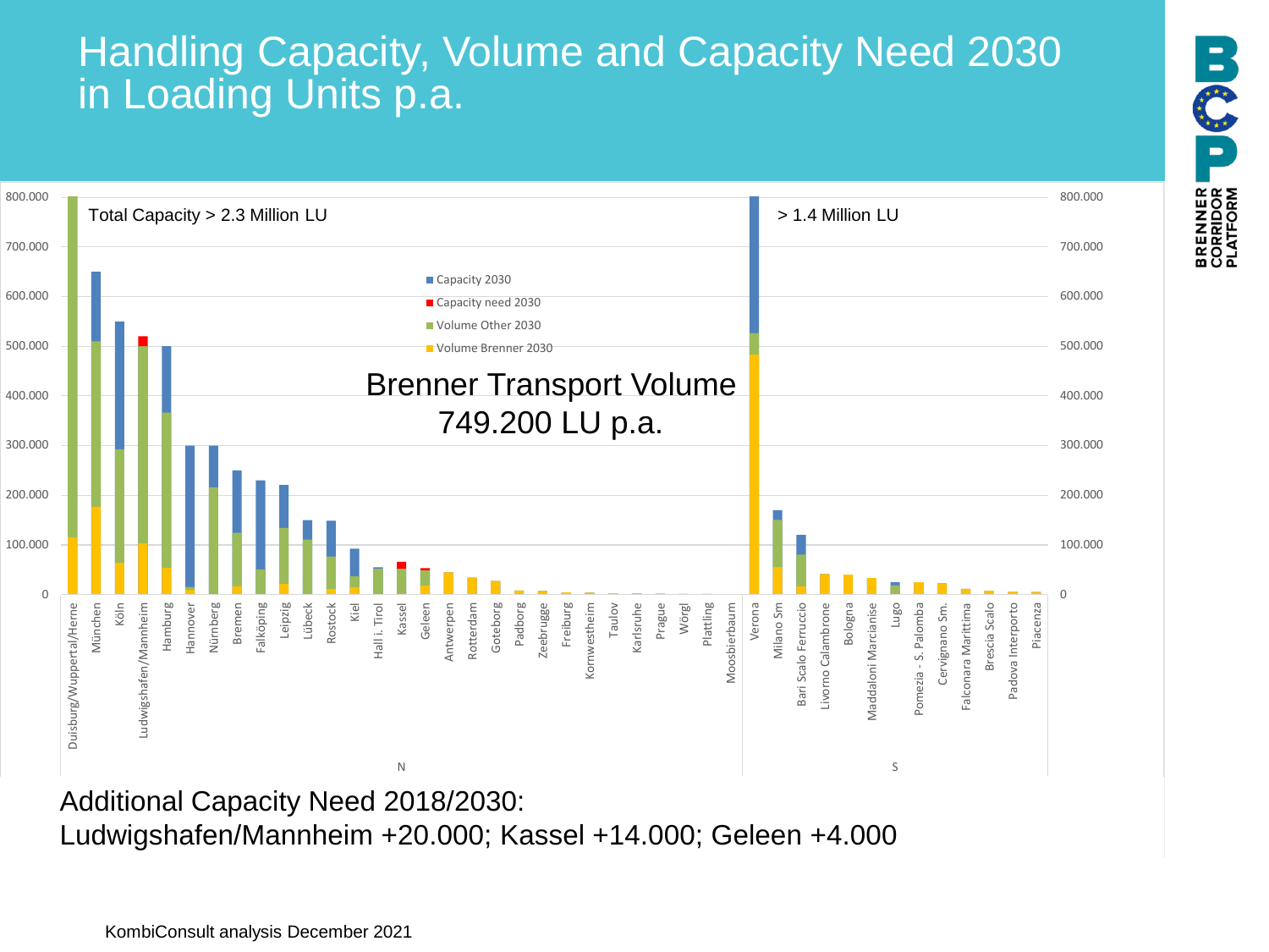# Handling Capacity, Volume and Capacity Need 2030 in Loading Units p.a.

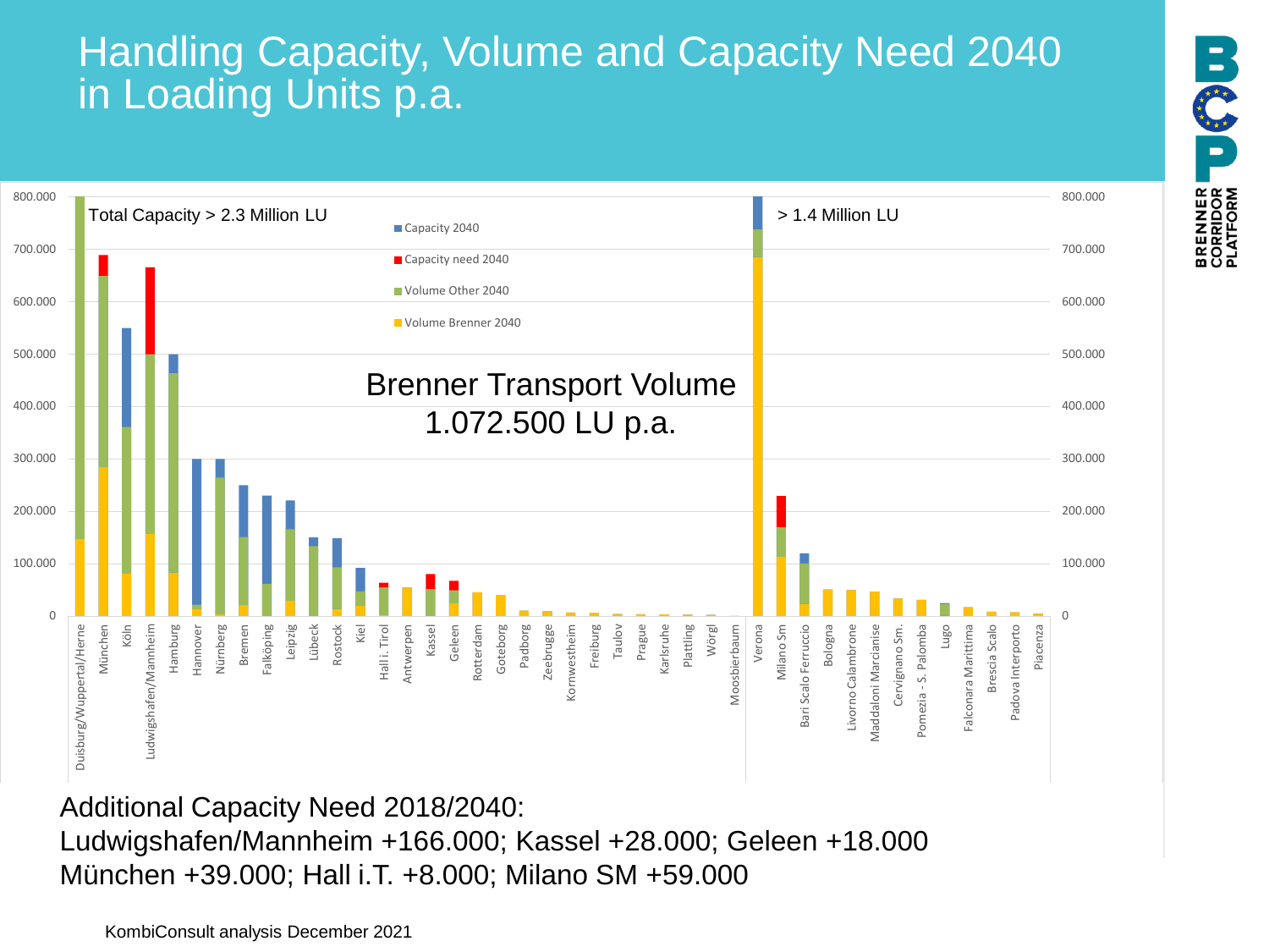# Handling Capacity, Volume and Capacity Need 2040 in Loading Units p.a.



Additional Capacity Need 2018/2040: Ludwigshafen/Mannheim +166.000; Kassel +28.000; Geleen +18.000 München +39.000; Hall i.T. +8.000; Milano SM +59.000

KombiConsult analysis December 2021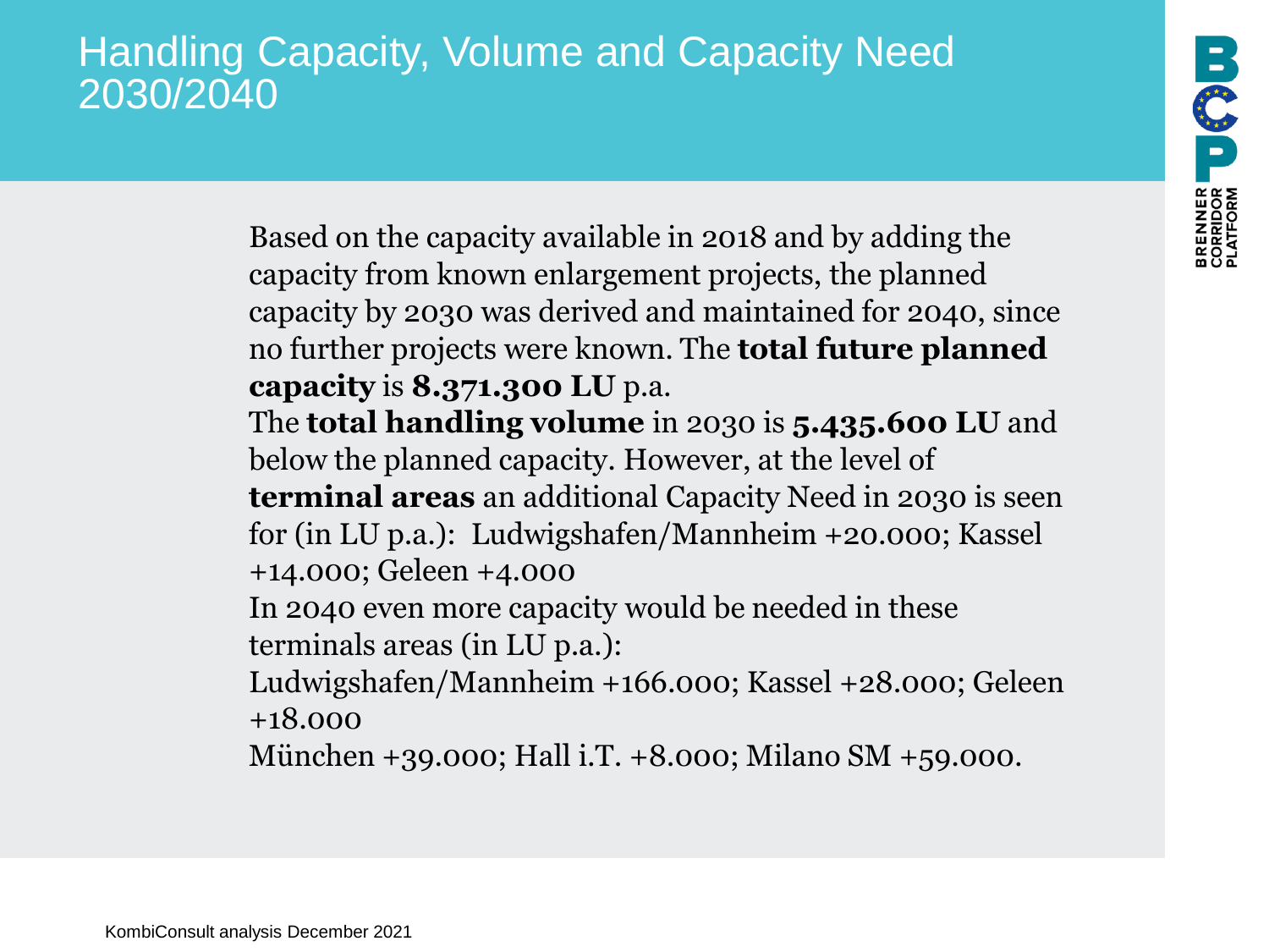# Handling Capacity, Volume and Capacity Need 2030/2040

Based on the capacity available in 2018 and by adding the capacity from known enlargement projects, the planned capacity by 2030 was derived and maintained for 2040, since no further projects were known. The **total future planned capacity** is **8.371.300 LU** p.a.

The **total handling volume** in 2030 is **5.435.600 LU** and below the planned capacity. However, at the level of **terminal areas** an additional Capacity Need in 2030 is seen for (in LU p.a.): Ludwigshafen/Mannheim +20.000; Kassel +14.000; Geleen +4.000

In 2040 even more capacity would be needed in these terminals areas (in LU p.a.):

Ludwigshafen/Mannheim +166.000; Kassel +28.000; Geleen +18.000

München +39.000; Hall i.T. +8.000; Milano SM +59.000.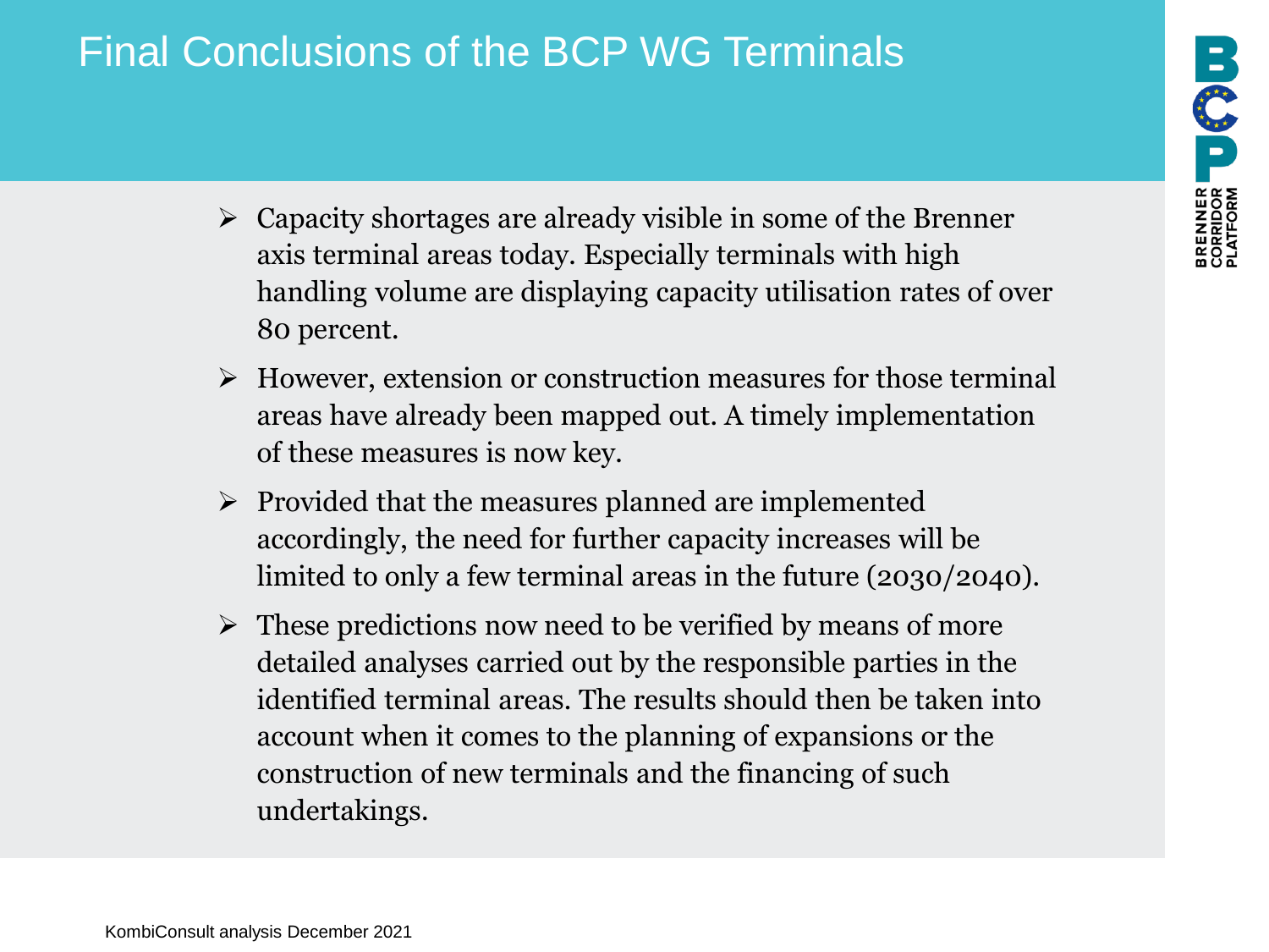# **BRENNER US DU**

# Final Conclusions of the BCP WG Terminals

- $\triangleright$  Capacity shortages are already visible in some of the Brenner axis terminal areas today. Especially terminals with high handling volume are displaying capacity utilisation rates of over 80 percent.
- ➢ However, extension or construction measures for those terminal areas have already been mapped out. A timely implementation of these measures is now key.
- ➢ Provided that the measures planned are implemented accordingly, the need for further capacity increases will be limited to only a few terminal areas in the future (2030/2040).
- $\triangleright$  These predictions now need to be verified by means of more detailed analyses carried out by the responsible parties in the identified terminal areas. The results should then be taken into account when it comes to the planning of expansions or the construction of new terminals and the financing of such undertakings.